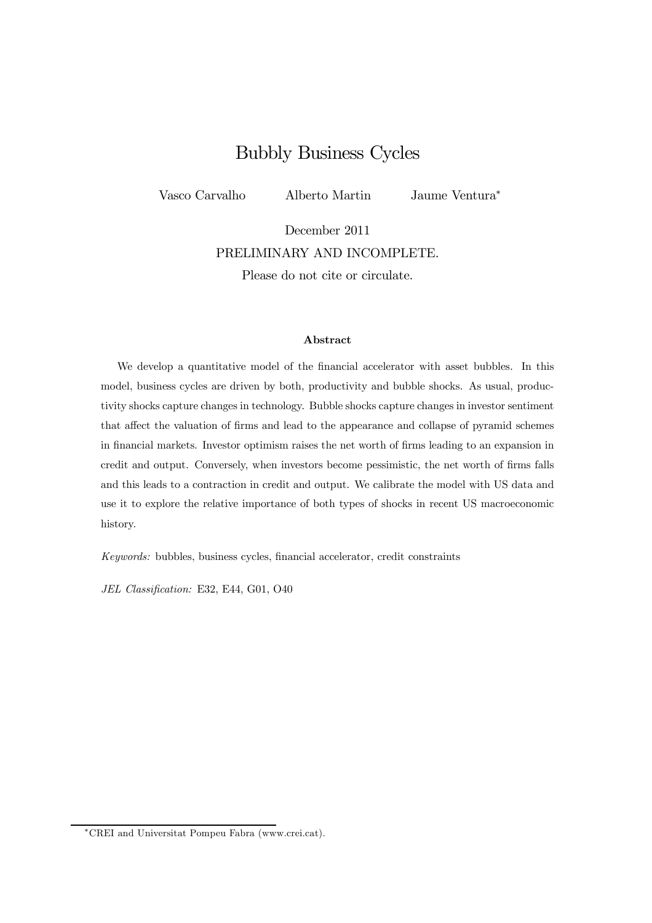## Bubbly Business Cycles

Vasco Carvalho Alberto Martin Jaume Ventura<sup>∗</sup>

December 2011 PRELIMINARY AND INCOMPLETE. Please do not cite or circulate.

#### Abstract

We develop a quantitative model of the financial accelerator with asset bubbles. In this model, business cycles are driven by both, productivity and bubble shocks. As usual, productivity shocks capture changes in technology. Bubble shocks capture changes in investor sentiment that affect the valuation of firms and lead to the appearance and collapse of pyramid schemes in financial markets. Investor optimism raises the net worth of firms leading to an expansion in credit and output. Conversely, when investors become pessimistic, the net worth of firms falls and this leads to a contraction in credit and output. We calibrate the model with US data and use it to explore the relative importance of both types of shocks in recent US macroeconomic history.

Keywords: bubbles, business cycles, financial accelerator, credit constraints

JEL Classification: E32, E44, G01, O40

<sup>∗</sup>CREI and Universitat Pompeu Fabra (www.crei.cat).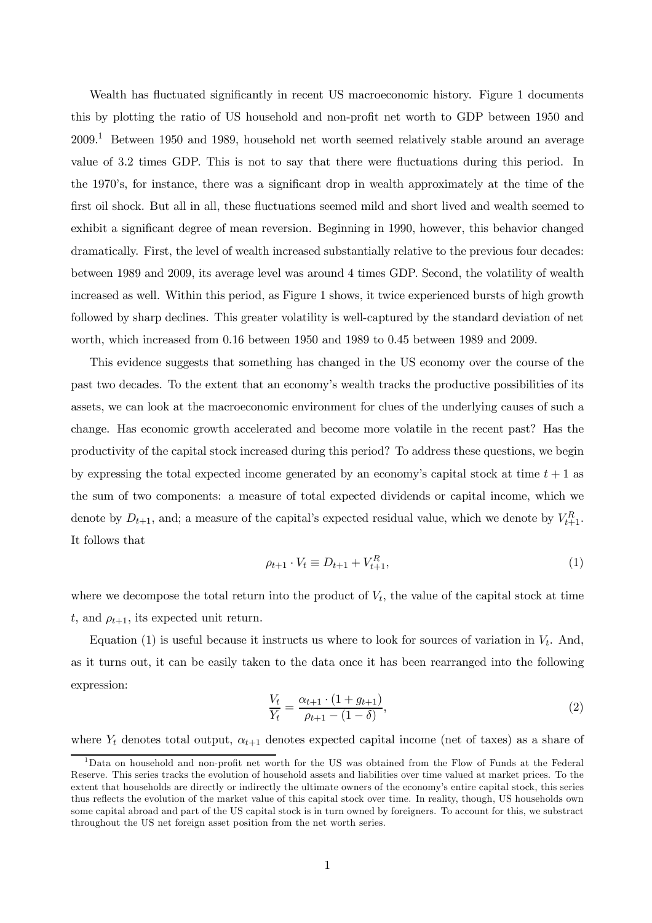Wealth has fluctuated significantly in recent US macroeconomic history. Figure 1 documents this by plotting the ratio of US household and non-profit net worth to GDP between 1950 and  $2009<sup>1</sup>$  Between 1950 and 1989, household net worth seemed relatively stable around an average value of 3.2 times GDP. This is not to say that there were fluctuations during this period. In the 1970's, for instance, there was a significant drop in wealth approximately at the time of the first oil shock. But all in all, these fluctuations seemed mild and short lived and wealth seemed to exhibit a significant degree of mean reversion. Beginning in 1990, however, this behavior changed dramatically. First, the level of wealth increased substantially relative to the previous four decades: between 1989 and 2009, its average level was around 4 times GDP. Second, the volatility of wealth increased as well. Within this period, as Figure 1 shows, it twice experienced bursts of high growth followed by sharp declines. This greater volatility is well-captured by the standard deviation of net worth, which increased from 0.16 between 1950 and 1989 to 0.45 between 1989 and 2009.

This evidence suggests that something has changed in the US economy over the course of the past two decades. To the extent that an economy's wealth tracks the productive possibilities of its assets, we can look at the macroeconomic environment for clues of the underlying causes of such a change. Has economic growth accelerated and become more volatile in the recent past? Has the productivity of the capital stock increased during this period? To address these questions, we begin by expressing the total expected income generated by an economy's capital stock at time  $t + 1$  as the sum of two components: a measure of total expected dividends or capital income, which we denote by  $D_{t+1}$ , and; a measure of the capital's expected residual value, which we denote by  $V_{t+1}^R$ . It follows that

$$
\rho_{t+1} \cdot V_t \equiv D_{t+1} + V_{t+1}^R,\tag{1}
$$

where we decompose the total return into the product of  $V_t$ , the value of the capital stock at time t, and  $\rho_{t+1}$ , its expected unit return.

Equation (1) is useful because it instructs us where to look for sources of variation in  $V_t$ . And, as it turns out, it can be easily taken to the data once it has been rearranged into the following expression:

$$
\frac{V_t}{Y_t} = \frac{\alpha_{t+1} \cdot (1 + g_{t+1})}{\rho_{t+1} - (1 - \delta)},
$$
\n(2)

where  $Y_t$  denotes total output,  $\alpha_{t+1}$  denotes expected capital income (net of taxes) as a share of

 $1$ Data on household and non-profit net worth for the US was obtained from the Flow of Funds at the Federal Reserve. This series tracks the evolution of household assets and liabilities over time valued at market prices. To the extent that households are directly or indirectly the ultimate owners of the economy's entire capital stock, this series thus reflects the evolution of the market value of this capital stock over time. In reality, though, US households own some capital abroad and part of the US capital stock is in turn owned by foreigners. To account for this, we substract throughout the US net foreign asset position from the net worth series.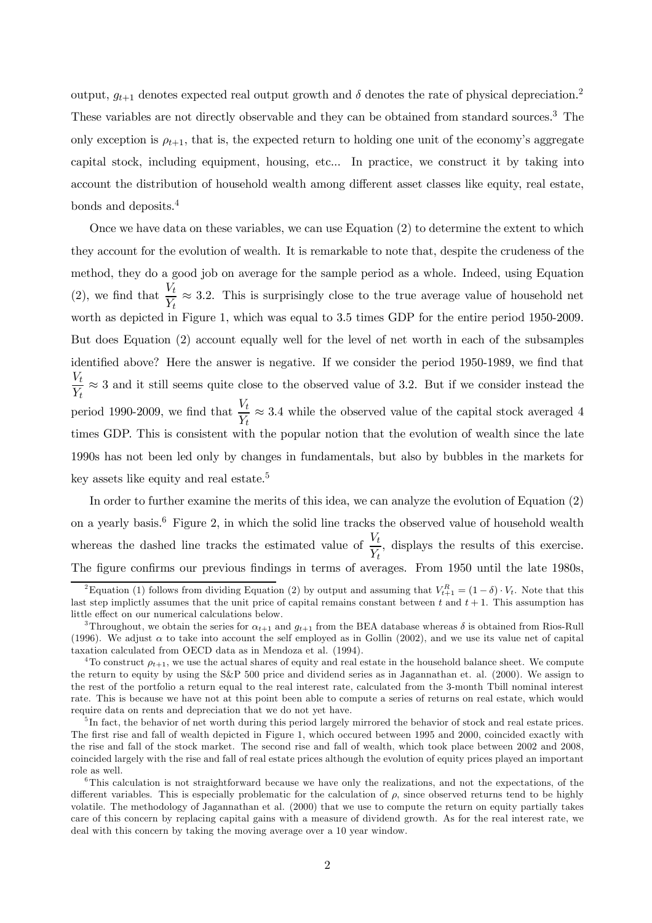output,  $g_{t+1}$  denotes expected real output growth and  $\delta$  denotes the rate of physical depreciation.<sup>2</sup> These variables are not directly observable and they can be obtained from standard sources.<sup>3</sup> The only exception is  $\rho_{t+1}$ , that is, the expected return to holding one unit of the economy's aggregate capital stock, including equipment, housing, etc... In practice, we construct it by taking into account the distribution of household wealth among different asset classes like equity, real estate, bonds and deposits.<sup>4</sup>

Once we have data on these variables, we can use Equation (2) to determine the extent to which they account for the evolution of wealth. It is remarkable to note that, despite the crudeness of the method, they do a good job on average for the sample period as a whole. Indeed, using Equation (2), we find that  $\frac{V_t}{V_t}$  $\frac{\partial}{\partial t} \approx 3.2$ . This is surprisingly close to the true average value of household net worth as depicted in Figure 1, which was equal to 3.5 times GDP for the entire period 1950-2009. But does Equation (2) account equally well for the level of net worth in each of the subsamples identified above? Here the answer is negative. If we consider the period 1950-1989, we find that  $V_t$  $\frac{V_t}{V_t} \approx 3$  and it still seems quite close to the observed value of 3.2. But if we consider instead the period 1990-2009, we find that  $\frac{V_t}{V_t}$  $\frac{\partial}{\partial t} \approx 3.4$  while the observed value of the capital stock averaged 4 times GDP. This is consistent with the popular notion that the evolution of wealth since the late 1990s has not been led only by changes in fundamentals, but also by bubbles in the markets for key assets like equity and real estate.<sup>5</sup>

In order to further examine the merits of this idea, we can analyze the evolution of Equation (2) on a yearly basis.<sup>6</sup> Figure 2, in which the solid line tracks the observed value of household wealth whereas the dashed line tracks the estimated value of  $\frac{V_t}{V}$  $\frac{\partial}{\partial t}$ , displays the results of this exercise. The figure confirms our previous findings in terms of averages. From 1950 until the late 1980s,

<sup>&</sup>lt;sup>2</sup>Equation (1) follows from dividing Equation (2) by output and assuming that  $V_{t+1}^R = (1 - \delta) \cdot V_t$ . Note that this last step implictly assumes that the unit price of capital remains constant between t and  $t + 1$ . This assumption has little effect on our numerical calculations below.

<sup>&</sup>lt;sup>3</sup>Throughout, we obtain the series for  $\alpha_{t+1}$  and  $g_{t+1}$  from the BEA database whereas  $\delta$  is obtained from Rios-Rull (1996). We adjust  $\alpha$  to take into account the self employed as in Gollin (2002), and we use its value net of capital taxation calculated from OECD data as in Mendoza et al. (1994).

<sup>&</sup>lt;sup>4</sup>To construct  $\rho_{t+1}$ , we use the actual shares of equity and real estate in the household balance sheet. We compute the return to equity by using the S&P 500 price and dividend series as in Jagannathan et. al. (2000). We assign to the rest of the portfolio a return equal to the real interest rate, calculated from the 3-month Tbill nominal interest rate. This is because we have not at this point been able to compute a series of returns on real estate, which would require data on rents and depreciation that we do not yet have.

<sup>&</sup>lt;sup>5</sup>In fact, the behavior of net worth during this period largely mirrored the behavior of stock and real estate prices. The first rise and fall of wealth depicted in Figure 1, which occured between 1995 and 2000, coincided exactly with the rise and fall of the stock market. The second rise and fall of wealth, which took place between 2002 and 2008, coincided largely with the rise and fall of real estate prices although the evolution of equity prices played an important role as well.

<sup>&</sup>lt;sup>6</sup>This calculation is not straightforward because we have only the realizations, and not the expectations, of the different variables. This is especially problematic for the calculation of  $\rho$ , since observed returns tend to be highly volatile. The methodology of Jagannathan et al. (2000) that we use to compute the return on equity partially takes care of this concern by replacing capital gains with a measure of dividend growth. As for the real interest rate, we deal with this concern by taking the moving average over a 10 year window.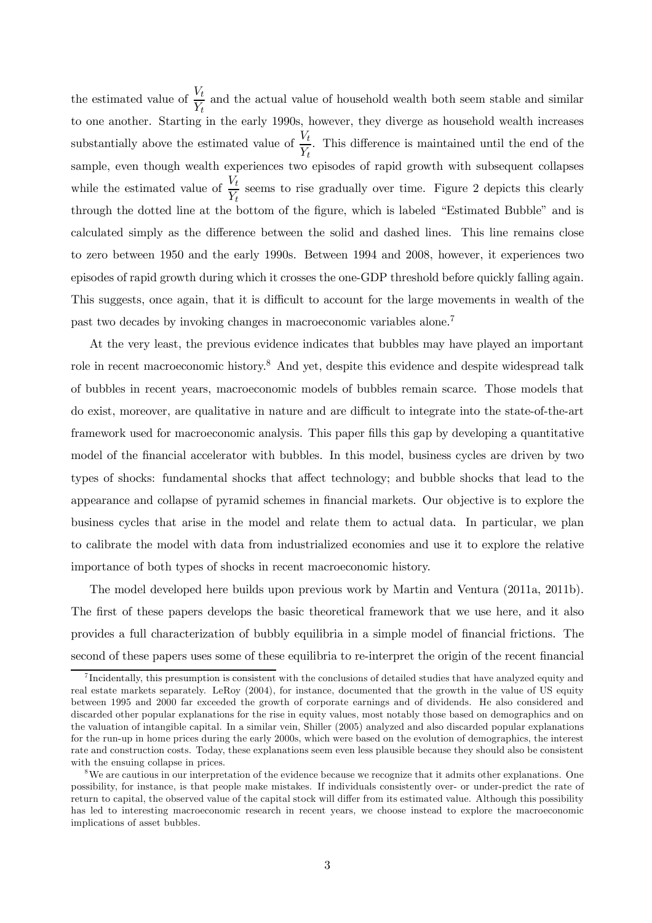the estimated value of  $\frac{V_t}{V_t}$  $\frac{\partial L}{\partial Y_t}$  and the actual value of household wealth both seem stable and similar to one another. Starting in the early 1990s, however, they diverge as household wealth increases substantially above the estimated value of  $\frac{V_t}{V_t}$  $\frac{\partial}{\partial t}$ . This difference is maintained until the end of the sample, even though wealth experiences two episodes of rapid growth with subsequent collapses while the estimated value of  $\frac{V_t}{V_t}$  $\frac{\partial}{\partial t}$  seems to rise gradually over time. Figure 2 depicts this clearly through the dotted line at the bottom of the figure, which is labeled "Estimated Bubble" and is calculated simply as the difference between the solid and dashed lines. This line remains close to zero between 1950 and the early 1990s. Between 1994 and 2008, however, it experiences two episodes of rapid growth during which it crosses the one-GDP threshold before quickly falling again. This suggests, once again, that it is difficult to account for the large movements in wealth of the past two decades by invoking changes in macroeconomic variables alone.<sup>7</sup>

At the very least, the previous evidence indicates that bubbles may have played an important role in recent macroeconomic history.<sup>8</sup> And yet, despite this evidence and despite widespread talk of bubbles in recent years, macroeconomic models of bubbles remain scarce. Those models that do exist, moreover, are qualitative in nature and are difficult to integrate into the state-of-the-art framework used for macroeconomic analysis. This paper fills this gap by developing a quantitative model of the financial accelerator with bubbles. In this model, business cycles are driven by two types of shocks: fundamental shocks that affect technology; and bubble shocks that lead to the appearance and collapse of pyramid schemes in financial markets. Our objective is to explore the business cycles that arise in the model and relate them to actual data. In particular, we plan to calibrate the model with data from industrialized economies and use it to explore the relative importance of both types of shocks in recent macroeconomic history.

The model developed here builds upon previous work by Martin and Ventura (2011a, 2011b). The first of these papers develops the basic theoretical framework that we use here, and it also provides a full characterization of bubbly equilibria in a simple model of financial frictions. The second of these papers uses some of these equilibria to re-interpret the origin of the recent financial

<sup>&</sup>lt;sup>7</sup>Incidentally, this presumption is consistent with the conclusions of detailed studies that have analyzed equity and real estate markets separately. LeRoy (2004), for instance, documented that the growth in the value of US equity between 1995 and 2000 far exceeded the growth of corporate earnings and of dividends. He also considered and discarded other popular explanations for the rise in equity values, most notably those based on demographics and on the valuation of intangible capital. In a similar vein, Shiller (2005) analyzed and also discarded popular explanations for the run-up in home prices during the early 2000s, which were based on the evolution of demographics, the interest rate and construction costs. Today, these explanations seem even less plausible because they should also be consistent with the ensuing collapse in prices.

<sup>&</sup>lt;sup>8</sup>We are cautious in our interpretation of the evidence because we recognize that it admits other explanations. One possibility, for instance, is that people make mistakes. If individuals consistently over- or under-predict the rate of return to capital, the observed value of the capital stock will differ from its estimated value. Although this possibility has led to interesting macroeconomic research in recent years, we choose instead to explore the macroeconomic implications of asset bubbles.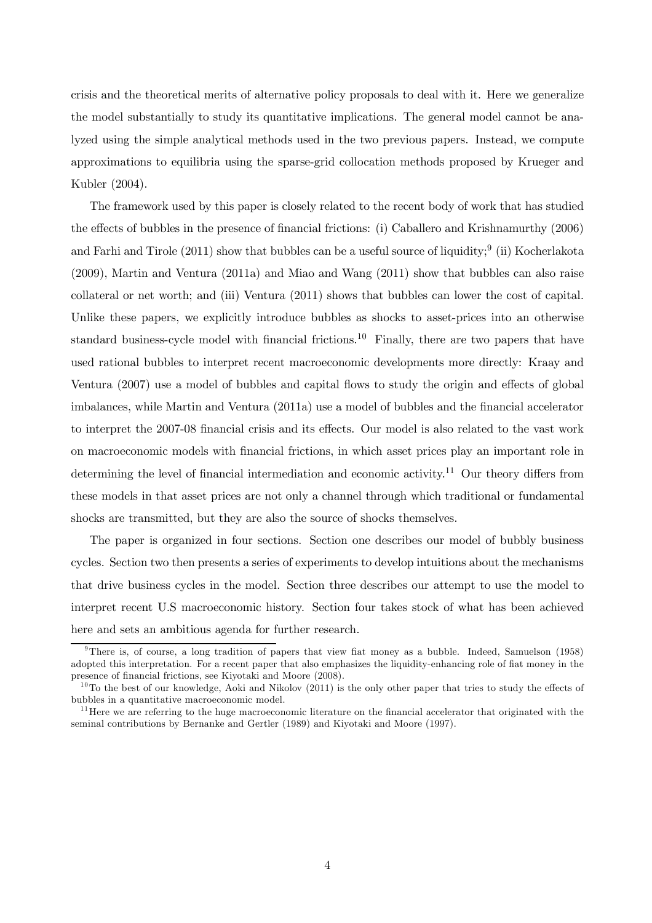crisis and the theoretical merits of alternative policy proposals to deal with it. Here we generalize the model substantially to study its quantitative implications. The general model cannot be analyzed using the simple analytical methods used in the two previous papers. Instead, we compute approximations to equilibria using the sparse-grid collocation methods proposed by Krueger and Kubler (2004).

The framework used by this paper is closely related to the recent body of work that has studied the effects of bubbles in the presence of financial frictions: (i) Caballero and Krishnamurthy (2006) and Farhi and Tirole (2011) show that bubbles can be a useful source of liquidity;<sup>9</sup> (ii) Kocherlakota (2009), Martin and Ventura (2011a) and Miao and Wang (2011) show that bubbles can also raise collateral or net worth; and (iii) Ventura (2011) shows that bubbles can lower the cost of capital. Unlike these papers, we explicitly introduce bubbles as shocks to asset-prices into an otherwise standard business-cycle model with financial frictions.<sup>10</sup> Finally, there are two papers that have used rational bubbles to interpret recent macroeconomic developments more directly: Kraay and Ventura (2007) use a model of bubbles and capital flows to study the origin and effects of global imbalances, while Martin and Ventura (2011a) use a model of bubbles and the financial accelerator to interpret the 2007-08 financial crisis and its effects. Our model is also related to the vast work on macroeconomic models with financial frictions, in which asset prices play an important role in determining the level of financial intermediation and economic activity.<sup>11</sup> Our theory differs from these models in that asset prices are not only a channel through which traditional or fundamental shocks are transmitted, but they are also the source of shocks themselves.

The paper is organized in four sections. Section one describes our model of bubbly business cycles. Section two then presents a series of experiments to develop intuitions about the mechanisms that drive business cycles in the model. Section three describes our attempt to use the model to interpret recent U.S macroeconomic history. Section four takes stock of what has been achieved here and sets an ambitious agenda for further research.

<sup>&</sup>lt;sup>9</sup>There is, of course, a long tradition of papers that view fiat money as a bubble. Indeed, Samuelson (1958) adopted this interpretation. For a recent paper that also emphasizes the liquidity-enhancing role of fiat money in the presence of financial frictions, see Kiyotaki and Moore (2008).

 $10$ To the best of our knowledge, Aoki and Nikolov (2011) is the only other paper that tries to study the effects of bubbles in a quantitative macroeconomic model.

 $11$  Here we are referring to the huge macroeconomic literature on the financial accelerator that originated with the seminal contributions by Bernanke and Gertler (1989) and Kiyotaki and Moore (1997).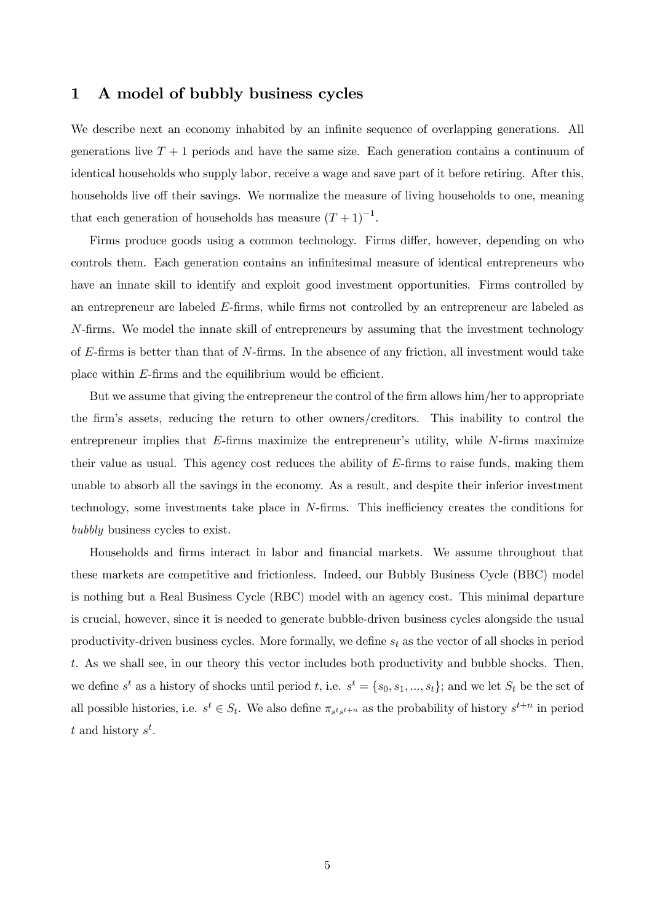## 1 A model of bubbly business cycles

We describe next an economy inhabited by an infinite sequence of overlapping generations. All generations live  $T + 1$  periods and have the same size. Each generation contains a continuum of identical households who supply labor, receive a wage and save part of it before retiring. After this, households live off their savings. We normalize the measure of living households to one, meaning that each generation of households has measure  $(T + 1)^{-1}$ .

Firms produce goods using a common technology. Firms differ, however, depending on who controls them. Each generation contains an infinitesimal measure of identical entrepreneurs who have an innate skill to identify and exploit good investment opportunities. Firms controlled by an entrepreneur are labeled  $E$ -firms, while firms not controlled by an entrepreneur are labeled as N-firms. We model the innate skill of entrepreneurs by assuming that the investment technology of  $E$ -firms is better than that of  $N$ -firms. In the absence of any friction, all investment would take place within E-firms and the equilibrium would be efficient.

But we assume that giving the entrepreneur the control of the firm allows him/her to appropriate the firm's assets, reducing the return to other owners/creditors. This inability to control the entrepreneur implies that  $E$ -firms maximize the entrepreneur's utility, while  $N$ -firms maximize their value as usual. This agency cost reduces the ability of  $E$ -firms to raise funds, making them unable to absorb all the savings in the economy. As a result, and despite their inferior investment technology, some investments take place in N-firms. This inefficiency creates the conditions for bubbly business cycles to exist.

Households and firms interact in labor and financial markets. We assume throughout that these markets are competitive and frictionless. Indeed, our Bubbly Business Cycle (BBC) model is nothing but a Real Business Cycle (RBC) model with an agency cost. This minimal departure is crucial, however, since it is needed to generate bubble-driven business cycles alongside the usual productivity-driven business cycles. More formally, we define  $s_t$  as the vector of all shocks in period t. As we shall see, in our theory this vector includes both productivity and bubble shocks. Then, we define  $s^t$  as a history of shocks until period t, i.e.  $s^t = \{s_0, s_1, ..., s_t\}$ ; and we let  $S_t$  be the set of all possible histories, i.e.  $s^t \in S_t$ . We also define  $\pi_{s^t s^{t+n}}$  as the probability of history  $s^{t+n}$  in period t and history  $s^t$ .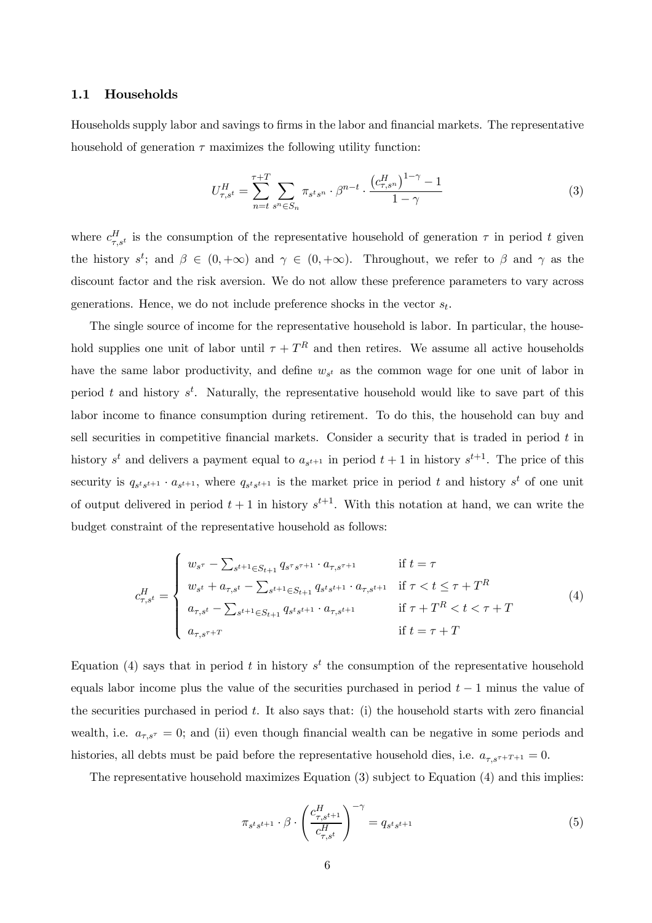#### 1.1 Households

Households supply labor and savings to firms in the labor and financial markets. The representative household of generation  $\tau$  maximizes the following utility function:

$$
U_{\tau,s^t}^H = \sum_{n=t}^{\tau+T} \sum_{s^n \in S_n} \pi_{s^t s^n} \cdot \beta^{n-t} \cdot \frac{\left(c_{\tau,s^n}^H\right)^{1-\gamma} - 1}{1-\gamma}
$$
(3)

where  $c_{\tau,s}^H$  is the consumption of the representative household of generation  $\tau$  in period t given the history  $s^t$ ; and  $\beta \in (0, +\infty)$  and  $\gamma \in (0, +\infty)$ . Throughout, we refer to  $\beta$  and  $\gamma$  as the discount factor and the risk aversion. We do not allow these preference parameters to vary across generations. Hence, we do not include preference shocks in the vector  $s_t$ .

The single source of income for the representative household is labor. In particular, the household supplies one unit of labor until  $\tau + T^R$  and then retires. We assume all active households have the same labor productivity, and define  $w_{s^t}$  as the common wage for one unit of labor in period t and history  $s^t$ . Naturally, the representative household would like to save part of this labor income to finance consumption during retirement. To do this, the household can buy and sell securities in competitive financial markets. Consider a security that is traded in period  $t$  in history  $s^t$  and delivers a payment equal to  $a_{s^{t+1}}$  in period  $t+1$  in history  $s^{t+1}$ . The price of this security is  $q_{s^t s^{t+1}} \cdot a_{s^{t+1}}$ , where  $q_{s^t s^{t+1}}$  is the market price in period t and history  $s^t$  of one unit of output delivered in period  $t+1$  in history  $s^{t+1}$ . With this notation at hand, we can write the budget constraint of the representative household as follows:

$$
c_{\tau,s^t}^H = \begin{cases} w_{s^{\tau}} - \sum_{s^{t+1} \in S_{t+1}} q_{s^{\tau} s^{\tau+1}} \cdot a_{\tau,s^{\tau+1}} & \text{if } t = \tau \\ w_{s^t} + a_{\tau,s^t} - \sum_{s^{t+1} \in S_{t+1}} q_{s^t s^{\tau+1}} \cdot a_{\tau,s^{t+1}} & \text{if } \tau < t \le \tau + T^R \\ a_{\tau,s^t} - \sum_{s^{t+1} \in S_{t+1}} q_{s^t s^{\tau+1}} \cdot a_{\tau,s^{t+1}} & \text{if } \tau + T^R < t < \tau + T \\ a_{\tau,s^{\tau+T}} & \text{if } t = \tau + T \end{cases} \tag{4}
$$

Equation (4) says that in period t in history  $s<sup>t</sup>$  the consumption of the representative household equals labor income plus the value of the securities purchased in period  $t-1$  minus the value of the securities purchased in period  $t$ . It also says that: (i) the household starts with zero financial wealth, i.e.  $a_{\tau,s^{\tau}} = 0$ ; and (ii) even though financial wealth can be negative in some periods and histories, all debts must be paid before the representative household dies, i.e.  $a_{\tau,s^{\tau+T+1}} = 0$ .

The representative household maximizes Equation (3) subject to Equation (4) and this implies:

$$
\pi_{s^t s^{t+1}} \cdot \beta \cdot \left(\frac{c_{\tau,s^{t+1}}^H}{c_{\tau,s^t}^H}\right)^{-\gamma} = q_{s^t s^{t+1}} \tag{5}
$$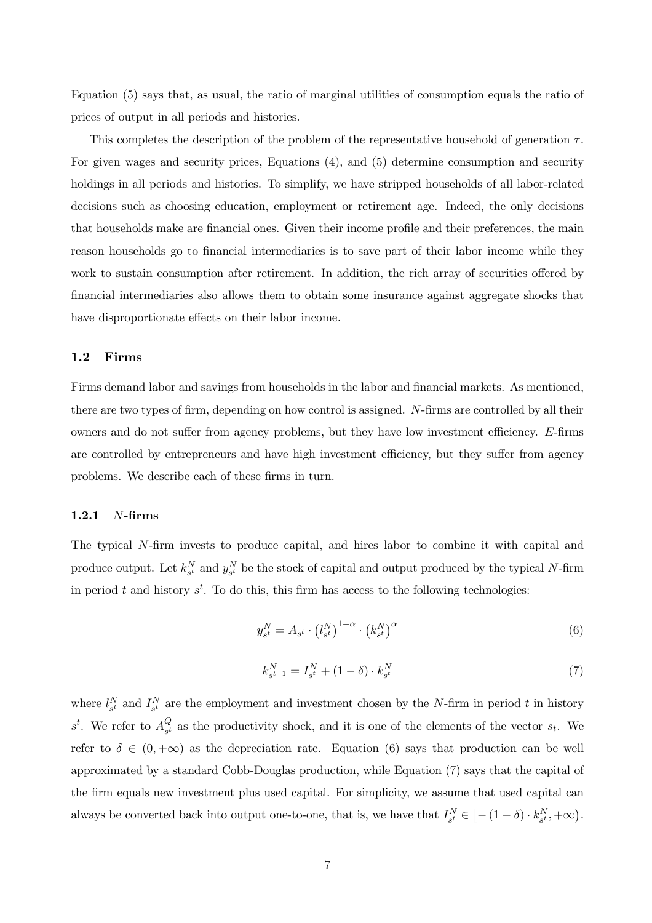Equation (5) says that, as usual, the ratio of marginal utilities of consumption equals the ratio of prices of output in all periods and histories.

This completes the description of the problem of the representative household of generation  $\tau$ . For given wages and security prices, Equations (4), and (5) determine consumption and security holdings in all periods and histories. To simplify, we have stripped households of all labor-related decisions such as choosing education, employment or retirement age. Indeed, the only decisions that households make are financial ones. Given their income profile and their preferences, the main reason households go to financial intermediaries is to save part of their labor income while they work to sustain consumption after retirement. In addition, the rich array of securities offered by financial intermediaries also allows them to obtain some insurance against aggregate shocks that have disproportionate effects on their labor income.

### 1.2 Firms

Firms demand labor and savings from households in the labor and financial markets. As mentioned, there are two types of firm, depending on how control is assigned. N-firms are controlled by all their owners and do not suffer from agency problems, but they have low investment efficiency. E-firms are controlled by entrepreneurs and have high investment efficiency, but they suffer from agency problems. We describe each of these firms in turn.

#### 1.2.1 N-firms

The typical N-firm invests to produce capital, and hires labor to combine it with capital and produce output. Let  $k_{s^t}^N$  and  $y_{s^t}^N$  be the stock of capital and output produced by the typical N-firm in period t and history  $s^t$ . To do this, this firm has access to the following technologies:

$$
y_{s^t}^N = A_{s^t} \cdot \left(l_{s^t}^N\right)^{1-\alpha} \cdot \left(k_{s^t}^N\right)^{\alpha} \tag{6}
$$

$$
k_{s^{t+1}}^N = I_{s^t}^N + (1 - \delta) \cdot k_{s^t}^N \tag{7}
$$

where  $l_{s}^{N}$  and  $I_{s}^{N}$  are the employment and investment chosen by the N-firm in period t in history  $s^t$ . We refer to  $A_{s^t}^Q$  $\mathcal{L}_{s^t}$  as the productivity shock, and it is one of the elements of the vector  $s_t$ . We refer to  $\delta \in (0, +\infty)$  as the depreciation rate. Equation (6) says that production can be well approximated by a standard Cobb-Douglas production, while Equation (7) says that the capital of the firm equals new investment plus used capital. For simplicity, we assume that used capital can always be converted back into output one-to-one, that is, we have that  $I_{s^t}^N \in [-(1-\delta) \cdot k_{s^t}^N, +\infty)$ .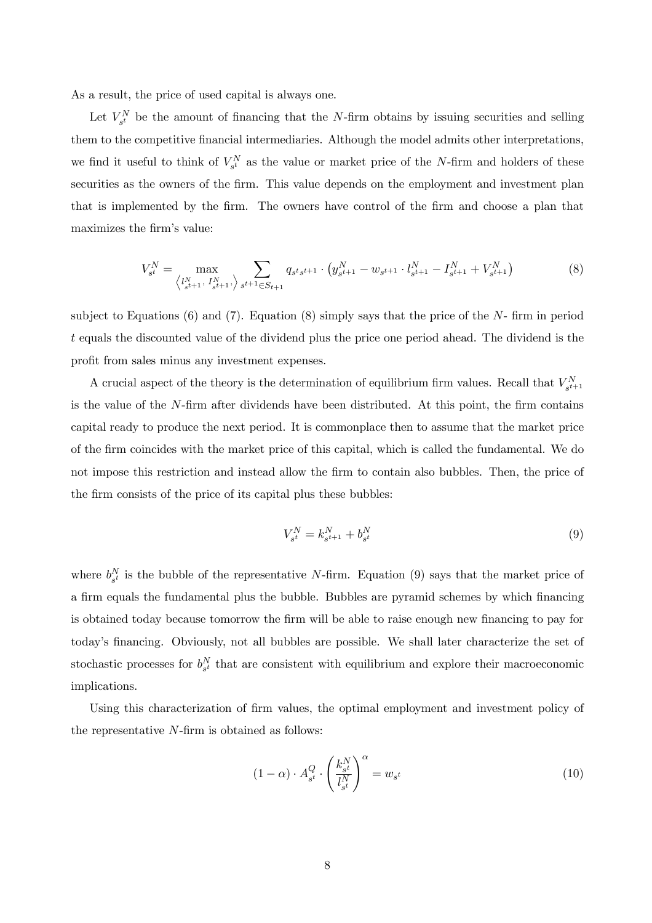As a result, the price of used capital is always one.

Let  $V_{s^t}^N$  be the amount of financing that the N-firm obtains by issuing securities and selling them to the competitive financial intermediaries. Although the model admits other interpretations, we find it useful to think of  $V_{s^t}^N$  as the value or market price of the N-firm and holders of these securities as the owners of the firm. This value depends on the employment and investment plan that is implemented by the firm. The owners have control of the firm and choose a plan that maximizes the firm's value:

$$
V_{s^t}^N = \max_{\left\langle l_{s^{t+1}}^N, l_{s^{t+1}}^N \right\rangle} \sum_{s^{t+1} \in S_{t+1}} q_{s^t s^{t+1}} \cdot \left( y_{s^{t+1}}^N - w_{s^{t+1}} \cdot l_{s^{t+1}}^N - I_{s^{t+1}}^N + V_{s^{t+1}}^N \right) \tag{8}
$$

subject to Equations (6) and (7). Equation (8) simply says that the price of the  $N$ - firm in period t equals the discounted value of the dividend plus the price one period ahead. The dividend is the profit from sales minus any investment expenses.

A crucial aspect of the theory is the determination of equilibrium firm values. Recall that  $V_{s^{t+1}}^N$ is the value of the N-firm after dividends have been distributed. At this point, the firm contains capital ready to produce the next period. It is commonplace then to assume that the market price of the firm coincides with the market price of this capital, which is called the fundamental. We do not impose this restriction and instead allow the firm to contain also bubbles. Then, the price of the firm consists of the price of its capital plus these bubbles:

$$
V_{s^t}^N = k_{s^{t+1}}^N + b_{s^t}^N \tag{9}
$$

where  $b_{s^t}^N$  is the bubble of the representative N-firm. Equation (9) says that the market price of a firm equals the fundamental plus the bubble. Bubbles are pyramid schemes by which financing is obtained today because tomorrow the firm will be able to raise enough new financing to pay for today's financing. Obviously, not all bubbles are possible. We shall later characterize the set of stochastic processes for  $b_{s^t}^N$  that are consistent with equilibrium and explore their macroeconomic implications.

Using this characterization of firm values, the optimal employment and investment policy of the representative N-firm is obtained as follows:

$$
(1 - \alpha) \cdot A_{s^t}^Q \cdot \left(\frac{k_{s^t}^N}{l_{s^t}^N}\right)^{\alpha} = w_{s^t} \tag{10}
$$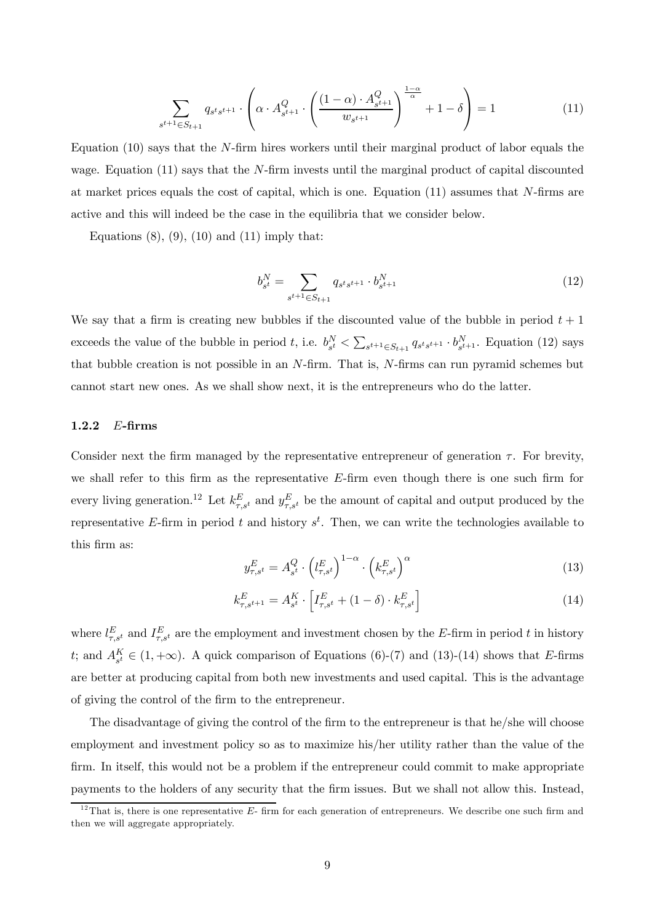$$
\sum_{s^{t+1} \in S_{t+1}} q_{s^t s^{t+1}} \cdot \left( \alpha \cdot A_{s^{t+1}}^Q \cdot \left( \frac{(1-\alpha) \cdot A_{s^{t+1}}^Q}{w_{s^{t+1}}} \right)^{\frac{1-\alpha}{\alpha}} + 1 - \delta \right) = 1 \tag{11}
$$

Equation  $(10)$  says that the N-firm hires workers until their marginal product of labor equals the wage. Equation  $(11)$  says that the N-firm invests until the marginal product of capital discounted at market prices equals the cost of capital, which is one. Equation (11) assumes that N-firms are active and this will indeed be the case in the equilibria that we consider below.

Equations  $(8)$ ,  $(9)$ ,  $(10)$  and  $(11)$  imply that:

$$
b_{s^t}^N = \sum_{s^{t+1} \in S_{t+1}} q_{s^t s^{t+1}} \cdot b_{s^{t+1}}^N \tag{12}
$$

We say that a firm is creating new bubbles if the discounted value of the bubble in period  $t + 1$ exceeds the value of the bubble in period t, i.e.  $b_{s^t}^N < \sum_{s^{t+1} \in S_{t+1}} q_{s^t s^{t+1}} \cdot b_{s^{t+1}}^N$ . Equation (12) says that bubble creation is not possible in an  $N$ -firm. That is,  $N$ -firms can run pyramid schemes but cannot start new ones. As we shall show next, it is the entrepreneurs who do the latter.

## 1.2.2 E-firms

Consider next the firm managed by the representative entrepreneur of generation  $\tau$ . For brevity, we shall refer to this firm as the representative  $E$ -firm even though there is one such firm for every living generation.<sup>12</sup> Let  $k_{\tau,s}^E$  and  $y_{\tau,s^t}^E$  be the amount of capital and output produced by the representative E-firm in period t and history  $s^t$ . Then, we can write the technologies available to this firm as:

$$
y_{\tau,s^t}^E = A_{s^t}^Q \cdot \left(l_{\tau,s^t}^E\right)^{1-\alpha} \cdot \left(k_{\tau,s^t}^E\right)^{\alpha} \tag{13}
$$

$$
k_{\tau,s^{t+1}}^E = A_{s^t}^K \cdot \left[ I_{\tau,s^t}^E + (1 - \delta) \cdot k_{\tau,s^t}^E \right] \tag{14}
$$

where  $l_{\tau,s^t}^E$  and  $I_{\tau,s^t}^E$  are the employment and investment chosen by the E-firm in period t in history t; and  $A_{s^t}^K \in (1, +\infty)$ . A quick comparison of Equations (6)-(7) and (13)-(14) shows that E-firms are better at producing capital from both new investments and used capital. This is the advantage of giving the control of the firm to the entrepreneur.

The disadvantage of giving the control of the firm to the entrepreneur is that he/she will choose employment and investment policy so as to maximize his/her utility rather than the value of the firm. In itself, this would not be a problem if the entrepreneur could commit to make appropriate payments to the holders of any security that the firm issues. But we shall not allow this. Instead,

 $12$ That is, there is one representative E- firm for each generation of entrepreneurs. We describe one such firm and then we will aggregate appropriately.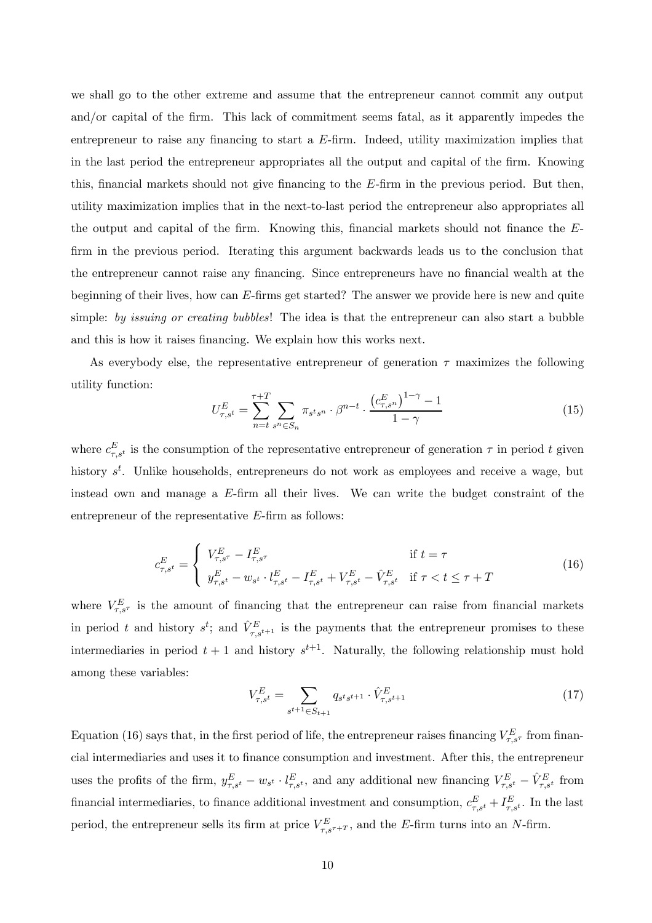we shall go to the other extreme and assume that the entrepreneur cannot commit any output and/or capital of the firm. This lack of commitment seems fatal, as it apparently impedes the entrepreneur to raise any financing to start a E-firm. Indeed, utility maximization implies that in the last period the entrepreneur appropriates all the output and capital of the firm. Knowing this, financial markets should not give financing to the E-firm in the previous period. But then, utility maximization implies that in the next-to-last period the entrepreneur also appropriates all the output and capital of the firm. Knowing this, financial markets should not finance the Efirm in the previous period. Iterating this argument backwards leads us to the conclusion that the entrepreneur cannot raise any financing. Since entrepreneurs have no financial wealth at the beginning of their lives, how can E-firms get started? The answer we provide here is new and quite simple: by issuing or creating bubbles! The idea is that the entrepreneur can also start a bubble and this is how it raises financing. We explain how this works next.

As everybody else, the representative entrepreneur of generation  $\tau$  maximizes the following utility function:

$$
U_{\tau,s^t}^E = \sum_{n=t}^{\tau+T} \sum_{s^n \in S_n} \pi_{s^t s^n} \cdot \beta^{n-t} \cdot \frac{\left(c_{\tau,s^n}^E\right)^{1-\gamma} - 1}{1-\gamma}
$$
(15)

where  $c_{\tau,s}^E$  is the consumption of the representative entrepreneur of generation  $\tau$  in period t given history  $s^t$ . Unlike households, entrepreneurs do not work as employees and receive a wage, but instead own and manage a E-firm all their lives. We can write the budget constraint of the entrepreneur of the representative E-firm as follows:

$$
c_{\tau,s^t}^E = \begin{cases} V_{\tau,s^{\tau}}^E - I_{\tau,s^{\tau}}^E & \text{if } t = \tau \\ y_{\tau,s^t}^E - w_{s^t} \cdot l_{\tau,s^t}^E - I_{\tau,s^t}^E + V_{\tau,s^t}^E - \hat{V}_{\tau,s^t}^E & \text{if } \tau < t \le \tau + T \end{cases}
$$
(16)

where  $V_{\tau,s\tau}^E$  is the amount of financing that the entrepreneur can raise from financial markets in period t and history  $s^t$ ; and  $\hat{V}^E_{\tau,s^{t+1}}$  is the payments that the entrepreneur promises to these intermediaries in period  $t+1$  and history  $s^{t+1}$ . Naturally, the following relationship must hold among these variables:

$$
V_{\tau,s^t}^E = \sum_{s^{t+1} \in S_{t+1}} q_{s^t s^{t+1}} \cdot \hat{V}_{\tau,s^{t+1}}^E \tag{17}
$$

Equation (16) says that, in the first period of life, the entrepreneur raises financing  $V_{\tau,s\tau}^E$  from financial intermediaries and uses it to finance consumption and investment. After this, the entrepreneur uses the profits of the firm,  $y_{\tau,s^t}^E - w_{s^t} \cdot l_{\tau,s^t}^E$ , and any additional new financing  $V_{\tau,s^t}^E - \hat{V}_{\tau,s^t}^E$  from financial intermediaries, to finance additional investment and consumption,  $c_{\tau,s^t}^E + I_{\tau,s^t}^E$ . In the last period, the entrepreneur sells its firm at price  $V_{\tau,s^{\tau+T}}^E$ , and the E-firm turns into an N-firm.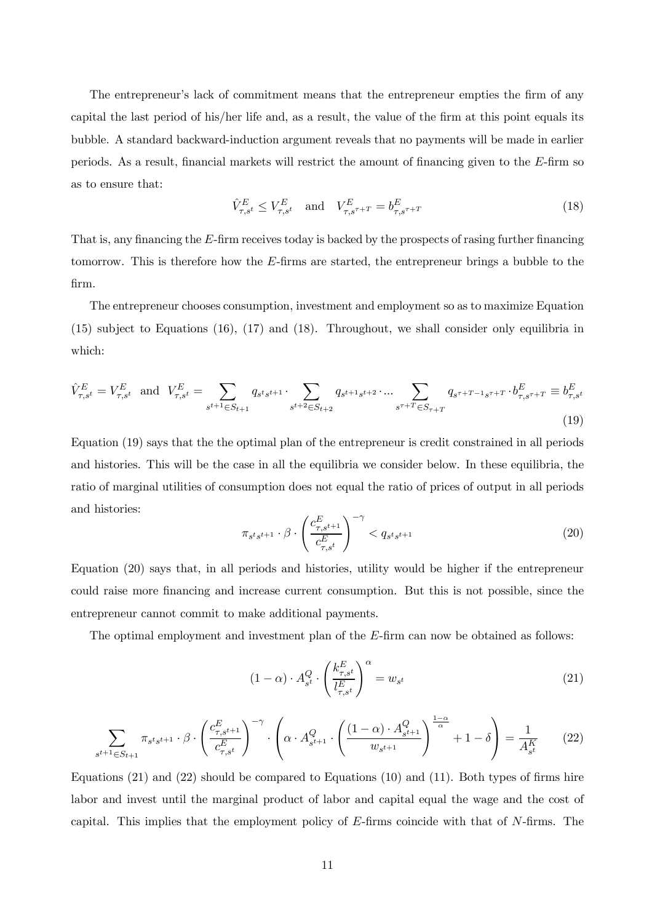The entrepreneur's lack of commitment means that the entrepreneur empties the firm of any capital the last period of his/her life and, as a result, the value of the firm at this point equals its bubble. A standard backward-induction argument reveals that no payments will be made in earlier periods. As a result, financial markets will restrict the amount of financing given to the E-firm so as to ensure that:

$$
\hat{V}_{\tau,s^t}^E \le V_{\tau,s^t}^E \quad \text{and} \quad V_{\tau,s^{\tau+T}}^E = b_{\tau,s^{\tau+T}}^E \tag{18}
$$

That is, any financing the E-firm receives today is backed by the prospects of rasing further financing tomorrow. This is therefore how the E-firms are started, the entrepreneur brings a bubble to the firm.

The entrepreneur chooses consumption, investment and employment so as to maximize Equation (15) subject to Equations (16), (17) and (18). Throughout, we shall consider only equilibria in which:

$$
\hat{V}_{\tau,s^t}^E = V_{\tau,s^t}^E \text{ and } V_{\tau,s^t}^E = \sum_{s^{t+1} \in S_{t+1}} q_{s^t s^{t+1}} \cdot \sum_{s^{t+2} \in S_{t+2}} q_{s^{t+1} s^{t+2}} \cdot \dots \sum_{s^{\tau+T} \in S_{\tau+T}} q_{s^{\tau+T-1} s^{\tau+T}} \cdot b_{\tau,s^{\tau+T}}^E \equiv b_{\tau,s^t}^E
$$
\n(19)

Equation (19) says that the the optimal plan of the entrepreneur is credit constrained in all periods and histories. This will be the case in all the equilibria we consider below. In these equilibria, the ratio of marginal utilities of consumption does not equal the ratio of prices of output in all periods and histories:

$$
\pi_{s^t s^{t+1}} \cdot \beta \cdot \left(\frac{c_{\tau, s^{t+1}}^E}{c_{\tau, s^t}^E}\right)^{-\gamma} < q_{s^t s^{t+1}} \tag{20}
$$

Equation (20) says that, in all periods and histories, utility would be higher if the entrepreneur could raise more financing and increase current consumption. But this is not possible, since the entrepreneur cannot commit to make additional payments.

The optimal employment and investment plan of the E-firm can now be obtained as follows:

$$
(1 - \alpha) \cdot A_{s^t}^Q \cdot \left(\frac{k_{\tau,s^t}^E}{l_{\tau,s^t}^E}\right)^\alpha = w_{s^t}
$$
\n
$$
(21)
$$

$$
\sum_{s^{t+1} \in S_{t+1}} \pi_{s^t s^{t+1}} \cdot \beta \cdot \left(\frac{c_{\tau, s^{t+1}}^E}{c_{\tau, s^t}^E}\right)^{-\gamma} \cdot \left(\alpha \cdot A_{s^{t+1}}^Q \cdot \left(\frac{(1-\alpha) \cdot A_{s^{t+1}}^Q}{w_{s^{t+1}}}\right)^{\frac{1-\alpha}{\alpha}} + 1 - \delta\right) = \frac{1}{A_{s^t}^K} \tag{22}
$$

Equations (21) and (22) should be compared to Equations (10) and (11). Both types of firms hire labor and invest until the marginal product of labor and capital equal the wage and the cost of capital. This implies that the employment policy of E-firms coincide with that of N-firms. The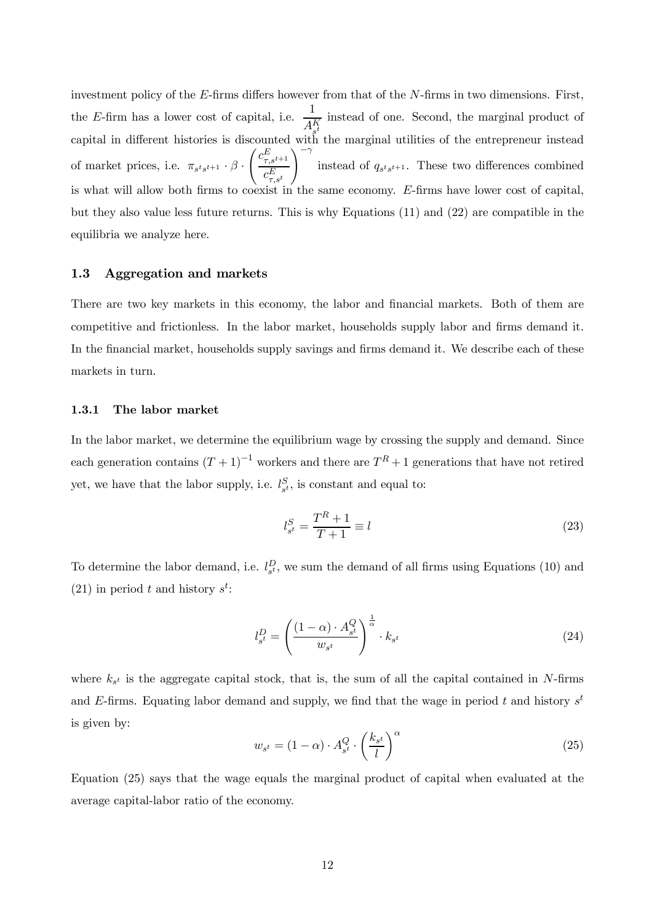investment policy of the E-firms differs however from that of the N-firms in two dimensions. First, the E-firm has a lower cost of capital, i.e.  $\frac{1}{A_{st}^{K}}$ capital in different histories is discounted with the marginal utilities of the entrepreneur instead instead of one. Second, the marginal product of of market prices, i.e.  $\pi_{s^t s^{t+1}} \cdot \beta$ .  $\int c_{\tau,s^{t+1}}^E$  $c_{\tau,s^t}^E$  $\setminus$ instead of  $q_{s^t s^{t+1}}$ . These two differences combined is what will allow both firms to coexist in the same economy. E-firms have lower cost of capital, but they also value less future returns. This is why Equations (11) and (22) are compatible in the equilibria we analyze here.

#### 1.3 Aggregation and markets

There are two key markets in this economy, the labor and financial markets. Both of them are competitive and frictionless. In the labor market, households supply labor and firms demand it. In the financial market, households supply savings and firms demand it. We describe each of these markets in turn.

#### 1.3.1 The labor market

In the labor market, we determine the equilibrium wage by crossing the supply and demand. Since each generation contains  $(T + 1)^{-1}$  workers and there are  $T^R + 1$  generations that have not retired yet, we have that the labor supply, i.e.  $l_{s^t}^S$ , is constant and equal to:

$$
l_{s^t}^S = \frac{T^R + 1}{T + 1} \equiv l \tag{23}
$$

To determine the labor demand, i.e.  $l_{s}^D$ , we sum the demand of all firms using Equations (10) and (21) in period t and history  $s^t$ :

$$
l_{s^t}^D = \left(\frac{(1-\alpha) \cdot A_{s^t}^Q}{w_{s^t}}\right)^{\frac{1}{\alpha}} \cdot k_{s^t}
$$
 (24)

where  $k_{s}$  is the aggregate capital stock, that is, the sum of all the capital contained in N-firms and E-firms. Equating labor demand and supply, we find that the wage in period t and history  $s^t$ is given by:

$$
w_{s^t} = (1 - \alpha) \cdot A_{s^t}^Q \cdot \left(\frac{k_{s^t}}{l}\right)^{\alpha} \tag{25}
$$

Equation (25) says that the wage equals the marginal product of capital when evaluated at the average capital-labor ratio of the economy.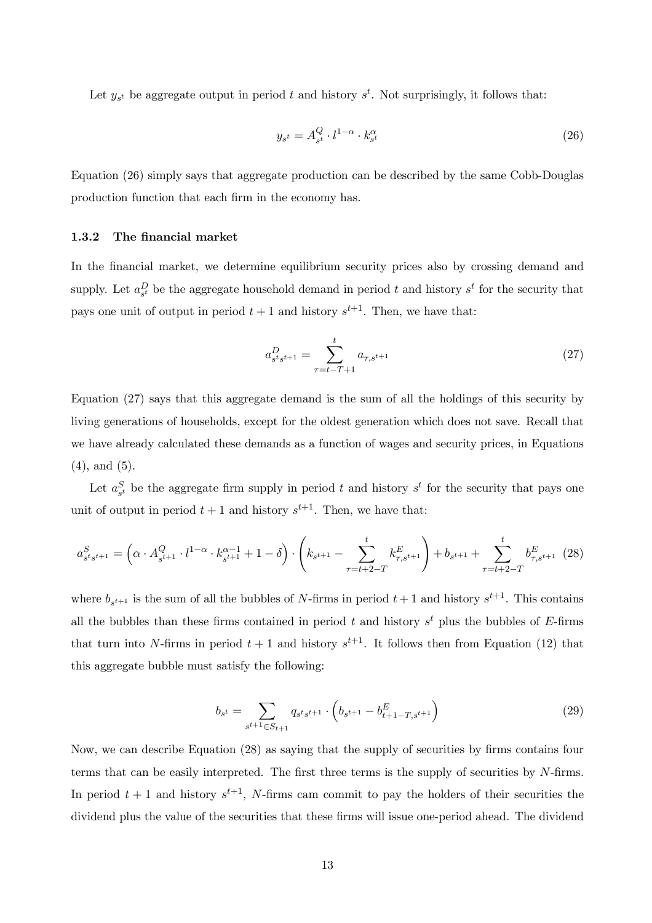Let  $y_{s^t}$  be aggregate output in period t and history  $s^t$ . Not surprisingly, it follows that:

$$
y_{s^t} = A_{s^t}^Q \cdot l^{1-\alpha} \cdot k_{s^t}^\alpha \tag{26}
$$

Equation (26) simply says that aggregate production can be described by the same Cobb-Douglas production function that each firm in the economy has.

#### 1.3.2 The financial market

In the financial market, we determine equilibrium security prices also by crossing demand and supply. Let  $a_{s}^{D}$  be the aggregate household demand in period t and history  $s^{t}$  for the security that pays one unit of output in period  $t+1$  and history  $s^{t+1}$ . Then, we have that:

$$
a_{s^t s^{t+1}}^D = \sum_{\tau=t-T+1}^t a_{\tau, s^{t+1}} \tag{27}
$$

Equation (27) says that this aggregate demand is the sum of all the holdings of this security by living generations of households, except for the oldest generation which does not save. Recall that we have already calculated these demands as a function of wages and security prices, in Equations (4), and (5).

Let  $a_{s}^{S}$  be the aggregate firm supply in period t and history  $s^{t}$  for the security that pays one unit of output in period  $t+1$  and history  $s^{t+1}$ . Then, we have that:

$$
a_{s^t s^{t+1}}^S = \left(\alpha \cdot A_{s^{t+1}}^Q \cdot l^{1-\alpha} \cdot k_{s^{t+1}}^{\alpha-1} + 1 - \delta\right) \cdot \left(k_{s^{t+1}} - \sum_{\tau=t+2-T}^t k_{\tau, s^{t+1}}^E\right) + b_{s^{t+1}} + \sum_{\tau=t+2-T}^t b_{\tau, s^{t+1}}^E \tag{28}
$$

where  $b_{s^{t+1}}$  is the sum of all the bubbles of N-firms in period  $t+1$  and history  $s^{t+1}$ . This contains all the bubbles than these firms contained in period t and history  $s<sup>t</sup>$  plus the bubbles of E-firms that turn into N-firms in period  $t + 1$  and history  $s^{t+1}$ . It follows then from Equation (12) that this aggregate bubble must satisfy the following:

$$
b_{s^t} = \sum_{s^{t+1} \in S_{t+1}} q_{s^t s^{t+1}} \cdot \left( b_{s^{t+1}} - b_{t+1-T, s^{t+1}}^E \right) \tag{29}
$$

Now, we can describe Equation (28) as saying that the supply of securities by firms contains four terms that can be easily interpreted. The first three terms is the supply of securities by  $N$ -firms. In period  $t + 1$  and history  $s^{t+1}$ , N-firms cam commit to pay the holders of their securities the dividend plus the value of the securities that these firms will issue one-period ahead. The dividend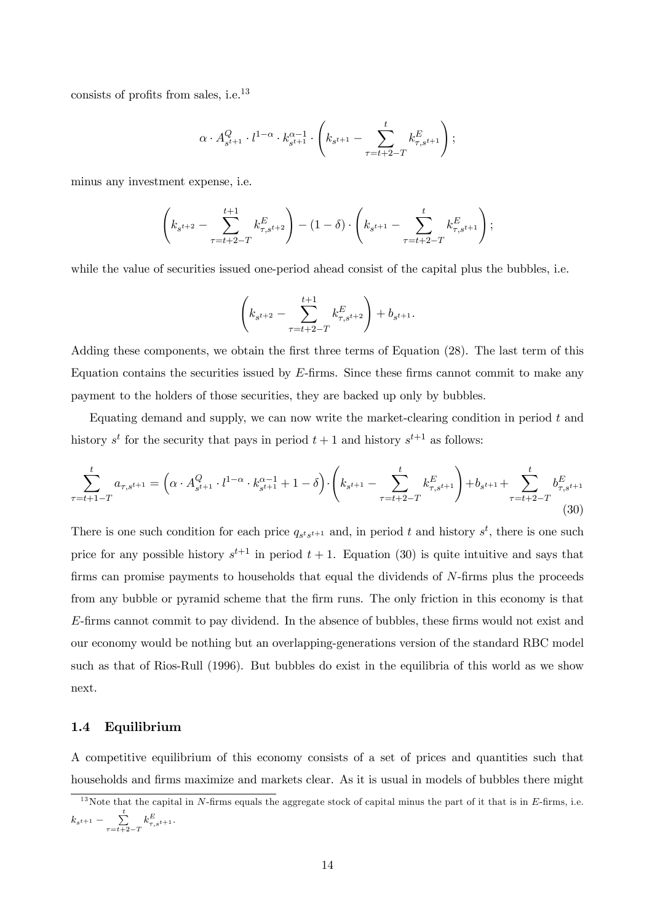consists of profits from sales, i.e.<sup>13</sup>

$$
\alpha \cdot A_{s^{t+1}}^Q \cdot l^{1-\alpha} \cdot k_{s^{t+1}}^{\alpha-1} \cdot \left( k_{s^{t+1}} - \sum_{\tau=t+2-T}^t k_{\tau,s^{t+1}}^E \right);
$$

minus any investment expense, i.e.

$$
\left(k_{s^{t+2}} - \sum_{\tau=t+2-T}^{t+1} k_{\tau,s^{t+2}}^{E} \right) - (1-\delta) \cdot \left(k_{s^{t+1}} - \sum_{\tau=t+2-T}^{t} k_{\tau,s^{t+1}}^{E} \right);
$$

while the value of securities issued one-period ahead consist of the capital plus the bubbles, i.e.

$$
\left(k_{s^{t+2}}-\sum_{\tau=t+2-T}^{t+1}k_{\tau,s^{t+2}}^{E}\right)+b_{s^{t+1}}.
$$

Adding these components, we obtain the first three terms of Equation (28). The last term of this Equation contains the securities issued by E-firms. Since these firms cannot commit to make any payment to the holders of those securities, they are backed up only by bubbles.

Equating demand and supply, we can now write the market-clearing condition in period  $t$  and history  $s^t$  for the security that pays in period  $t+1$  and history  $s^{t+1}$  as follows:

$$
\sum_{\tau=t+1-T}^{t} a_{\tau,s^{t+1}} = \left(\alpha \cdot A_{s^{t+1}}^Q \cdot l^{1-\alpha} \cdot k_{s^{t+1}}^{\alpha-1} + 1 - \delta\right) \cdot \left(k_{s^{t+1}} - \sum_{\tau=t+2-T}^{t} k_{\tau,s^{t+1}}^E\right) + b_{s^{t+1}} + \sum_{\tau=t+2-T}^{t} b_{\tau,s^{t+1}}^E
$$
\n(30)

There is one such condition for each price  $q_{s^t s^{t+1}}$  and, in period t and history  $s^t$ , there is one such price for any possible history  $s^{t+1}$  in period  $t+1$ . Equation (30) is quite intuitive and says that firms can promise payments to households that equal the dividends of  $N$ -firms plus the proceeds from any bubble or pyramid scheme that the firm runs. The only friction in this economy is that E-firms cannot commit to pay dividend. In the absence of bubbles, these firms would not exist and our economy would be nothing but an overlapping-generations version of the standard RBC model such as that of Rios-Rull (1996). But bubbles do exist in the equilibria of this world as we show next.

#### 1.4 Equilibrium

A competitive equilibrium of this economy consists of a set of prices and quantities such that households and firms maximize and markets clear. As it is usual in models of bubbles there might

 $13$ Note that the capital in N-firms equals the aggregate stock of capital minus the part of it that is in E-firms, i.e.  $k_{s^{t+1}} - \sum_{i=1}^{t}$  $\sum_{\tau=t+2-T} k_{\tau,s^{t+1}}^E.$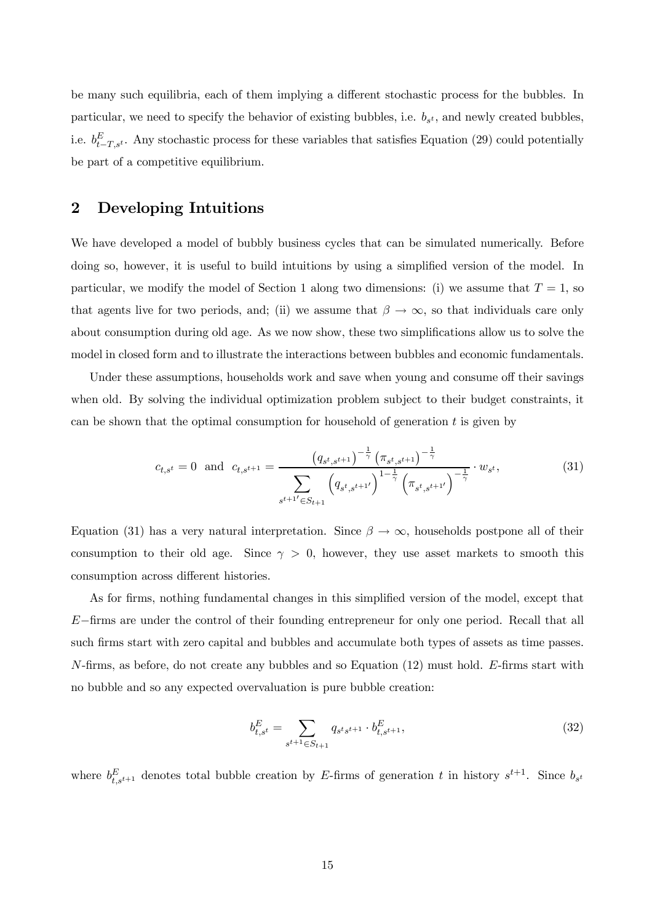be many such equilibria, each of them implying a different stochastic process for the bubbles. In particular, we need to specify the behavior of existing bubbles, i.e.  $b_{s^t}$ , and newly created bubbles, i.e.  $b_{t-T,s'}^E$ . Any stochastic process for these variables that satisfies Equation (29) could potentially be part of a competitive equilibrium.

## 2 Developing Intuitions

We have developed a model of bubbly business cycles that can be simulated numerically. Before doing so, however, it is useful to build intuitions by using a simplified version of the model. In particular, we modify the model of Section 1 along two dimensions: (i) we assume that  $T = 1$ , so that agents live for two periods, and; (ii) we assume that  $\beta \to \infty$ , so that individuals care only about consumption during old age. As we now show, these two simplifications allow us to solve the model in closed form and to illustrate the interactions between bubbles and economic fundamentals.

Under these assumptions, households work and save when young and consume off their savings when old. By solving the individual optimization problem subject to their budget constraints, it can be shown that the optimal consumption for household of generation  $t$  is given by

$$
c_{t,s^{t}} = 0 \text{ and } c_{t,s^{t+1}} = \frac{\left(q_{s^{t},s^{t+1}}\right)^{-\frac{1}{\gamma}} \left(\pi_{s^{t},s^{t+1}}\right)^{-\frac{1}{\gamma}}}{\sum_{s^{t+1'} \in S_{t+1}} \left(q_{s^{t},s^{t+1'}}\right)^{1-\frac{1}{\gamma}} \left(\pi_{s^{t},s^{t+1'}}\right)^{-\frac{1}{\gamma}}} \cdot w_{s^{t}},\tag{31}
$$

Equation (31) has a very natural interpretation. Since  $\beta \to \infty$ , households postpone all of their consumption to their old age. Since  $\gamma > 0$ , however, they use asset markets to smooth this consumption across different histories.

As for firms, nothing fundamental changes in this simplified version of the model, except that E−firms are under the control of their founding entrepreneur for only one period. Recall that all such firms start with zero capital and bubbles and accumulate both types of assets as time passes.  $N$ -firms, as before, do not create any bubbles and so Equation  $(12)$  must hold. E-firms start with no bubble and so any expected overvaluation is pure bubble creation:

$$
b_{t,s^t}^E = \sum_{s^{t+1} \in S_{t+1}} q_{s^t s^{t+1}} \cdot b_{t,s^{t+1}}^E,
$$
\n(32)

where  $b_{t,s^{t+1}}^E$  denotes total bubble creation by E-firms of generation t in history  $s^{t+1}$ . Since  $b_{s^t}$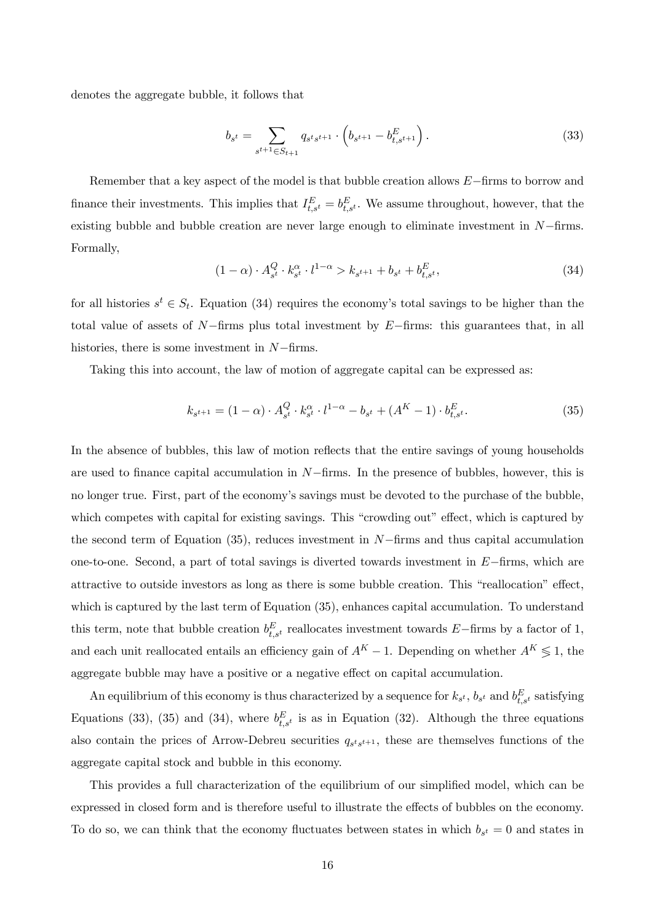denotes the aggregate bubble, it follows that

$$
b_{s^t} = \sum_{s^{t+1} \in S_{t+1}} q_{s^t s^{t+1}} \cdot \left( b_{s^{t+1}} - b_{t,s^{t+1}}^E \right). \tag{33}
$$

Remember that a key aspect of the model is that bubble creation allows E−firms to borrow and finance their investments. This implies that  $I_{t,s^t}^E = b_{t,s^t}^E$ . We assume throughout, however, that the existing bubble and bubble creation are never large enough to eliminate investment in  $N$ -firms. Formally,

$$
(1 - \alpha) \cdot A_{s^t}^Q \cdot k_{s^t}^\alpha \cdot l^{1 - \alpha} > k_{s^{t+1}} + b_{s^t} + b_{t, s^t}^E,
$$
\n(34)

for all histories  $s^t \in S_t$ . Equation (34) requires the economy's total savings to be higher than the total value of assets of  $N$ −firms plus total investment by  $E$ −firms: this guarantees that, in all histories, there is some investment in N−firms.

Taking this into account, the law of motion of aggregate capital can be expressed as:

$$
k_{s^{t+1}} = (1 - \alpha) \cdot A_{s^t}^Q \cdot k_{s^t}^{\alpha} \cdot l^{1 - \alpha} - b_{s^t} + (A^K - 1) \cdot b_{t, s^t}^E.
$$
 (35)

In the absence of bubbles, this law of motion reflects that the entire savings of young households are used to finance capital accumulation in  $N$ –firms. In the presence of bubbles, however, this is no longer true. First, part of the economy's savings must be devoted to the purchase of the bubble, which competes with capital for existing savings. This "crowding out" effect, which is captured by the second term of Equation (35), reduces investment in N−firms and thus capital accumulation one-to-one. Second, a part of total savings is diverted towards investment in  $E$ −firms, which are attractive to outside investors as long as there is some bubble creation. This "reallocation" effect, which is captured by the last term of Equation (35), enhances capital accumulation. To understand this term, note that bubble creation  $b_{t,s}^E$  reallocates investment towards E−firms by a factor of 1, and each unit reallocated entails an efficiency gain of  $A^K - 1$ . Depending on whether  $A^K \leq 1$ , the aggregate bubble may have a positive or a negative effect on capital accumulation.

An equilibrium of this economy is thus characterized by a sequence for  $k_{s^t}$ ,  $b_{s^t}$  and  $b_{t,s^t}^E$  satisfying Equations (33), (35) and (34), where  $b_{t,s'}^E$  is as in Equation (32). Although the three equations also contain the prices of Arrow-Debreu securities  $q_{s^t s^{t+1}}$ , these are themselves functions of the aggregate capital stock and bubble in this economy.

This provides a full characterization of the equilibrium of our simplified model, which can be expressed in closed form and is therefore useful to illustrate the effects of bubbles on the economy. To do so, we can think that the economy fluctuates between states in which  $b_{s^t} = 0$  and states in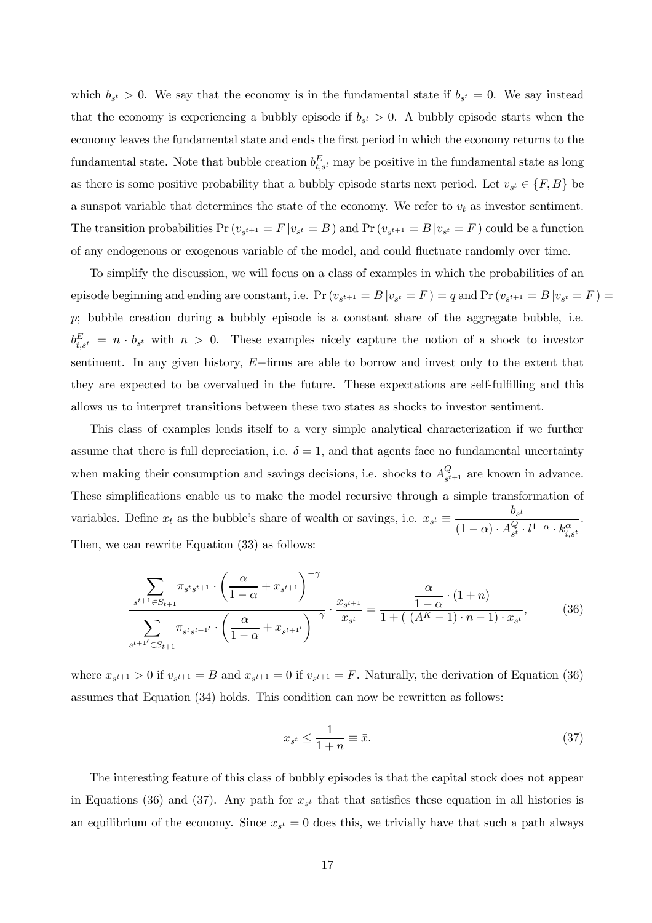which  $b_{s^t} > 0$ . We say that the economy is in the fundamental state if  $b_{s^t} = 0$ . We say instead that the economy is experiencing a bubbly episode if  $b_{s^t} > 0$ . A bubbly episode starts when the economy leaves the fundamental state and ends the first period in which the economy returns to the fundamental state. Note that bubble creation  $b_{t,s}^E$  may be positive in the fundamental state as long as there is some positive probability that a bubbly episode starts next period. Let  $v_{s^t} \in \{F, B\}$  be a sunspot variable that determines the state of the economy. We refer to  $v_t$  as investor sentiment. The transition probabilities  $Pr(v_{s^{t+1}} = F | v_{s^t} = B)$  and  $Pr(v_{s^{t+1}} = B | v_{s^t} = F)$  could be a function of any endogenous or exogenous variable of the model, and could fluctuate randomly over time.

To simplify the discussion, we will focus on a class of examples in which the probabilities of an episode beginning and ending are constant, i.e.  $Pr(v_{s^{t+1}} = B | v_{s^t} = F) = q$  and  $Pr(v_{s^{t+1}} = B | v_{s^t} = F) =$ p; bubble creation during a bubbly episode is a constant share of the aggregate bubble, i.e.  $b_{t,s^t}^E = n \cdot b_{s^t}$  with  $n > 0$ . These examples nicely capture the notion of a shock to investor sentiment. In any given history, E−firms are able to borrow and invest only to the extent that they are expected to be overvalued in the future. These expectations are self-fulfilling and this allows us to interpret transitions between these two states as shocks to investor sentiment.

This class of examples lends itself to a very simple analytical characterization if we further assume that there is full depreciation, i.e.  $\delta = 1$ , and that agents face no fundamental uncertainty when making their consumption and savings decisions, i.e. shocks to  $A_{\varepsilon t}^Q$  $\mathcal{L}_{s^{t+1}}$  are known in advance. These simplifications enable us to make the model recursive through a simple transformation of variables. Define  $x_t$  as the bubble's share of wealth or savings, i.e.  $x_{s^t} \equiv \frac{b_{s^t}}{(1-\lambda)^{-1}Q}$  $(1-\alpha) \cdot A_{st}^Q$  $s^l \cdot l^{1-\alpha} \cdot k_{i,s^t}^\alpha$ . Then, we can rewrite Equation (33) as follows:

$$
\frac{\sum_{s^{t+1}\in S_{t+1}} \pi_{s^t s^{t+1}} \cdot \left(\frac{\alpha}{1-\alpha} + x_{s^{t+1}}\right)^{-\gamma}}{\sum_{s^{t+1}'\in S_{t+1}} \pi_{s^t s^{t+1}'} \cdot \left(\frac{\alpha}{1-\alpha} + x_{s^{t+1}'}\right)^{-\gamma}} \cdot \frac{x_{s^{t+1}}}{x_{s^t}} = \frac{\alpha}{1+\left((A^K - 1) \cdot n - 1\right) \cdot x_{s^t}},\tag{36}
$$

where  $x_{s^{t+1}} > 0$  if  $v_{s^{t+1}} = B$  and  $x_{s^{t+1}} = 0$  if  $v_{s^{t+1}} = F$ . Naturally, the derivation of Equation (36) assumes that Equation (34) holds. This condition can now be rewritten as follows:

$$
x_{s^t} \le \frac{1}{1+n} \equiv \bar{x}.\tag{37}
$$

The interesting feature of this class of bubbly episodes is that the capital stock does not appear in Equations (36) and (37). Any path for  $x_{s^t}$  that that satisfies these equation in all histories is an equilibrium of the economy. Since  $x_{s^t} = 0$  does this, we trivially have that such a path always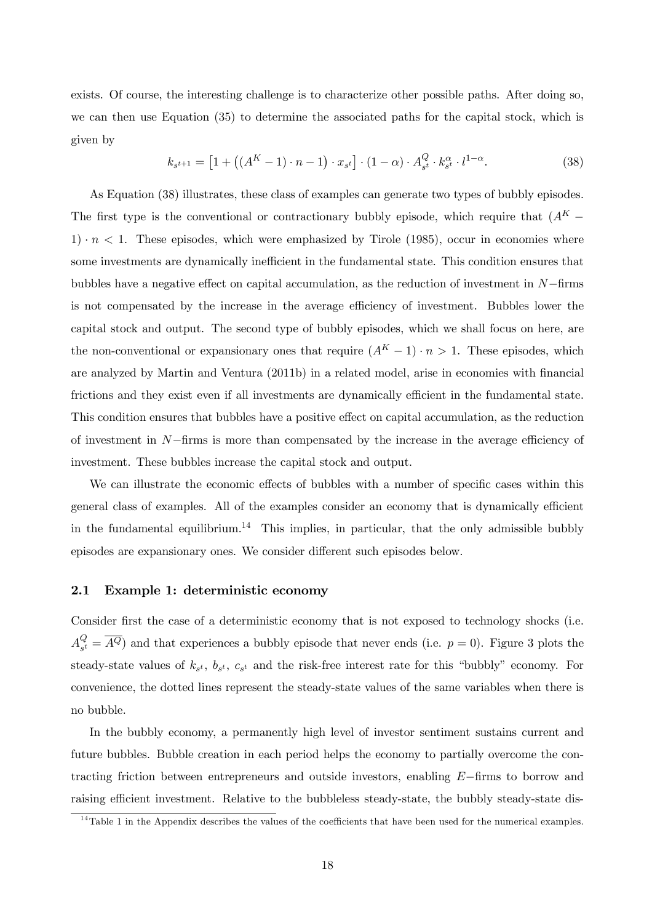exists. Of course, the interesting challenge is to characterize other possible paths. After doing so, we can then use Equation (35) to determine the associated paths for the capital stock, which is given by

$$
k_{s^{t+1}} = [1 + ((A^{K} - 1) \cdot n - 1) \cdot x_{s^{t}}] \cdot (1 - \alpha) \cdot A_{s^{t}}^{Q} \cdot k_{s^{t}}^{\alpha} \cdot l^{1 - \alpha}.
$$
 (38)

As Equation (38) illustrates, these class of examples can generate two types of bubbly episodes. The first type is the conventional or contractionary bubbly episode, which require that  $(A<sup>K</sup> 1) \cdot n < 1$ . These episodes, which were emphasized by Tirole (1985), occur in economies where some investments are dynamically inefficient in the fundamental state. This condition ensures that bubbles have a negative effect on capital accumulation, as the reduction of investment in N−firms is not compensated by the increase in the average efficiency of investment. Bubbles lower the capital stock and output. The second type of bubbly episodes, which we shall focus on here, are the non-conventional or expansionary ones that require  $(A^K - 1) \cdot n > 1$ . These episodes, which are analyzed by Martin and Ventura (2011b) in a related model, arise in economies with financial frictions and they exist even if all investments are dynamically efficient in the fundamental state. This condition ensures that bubbles have a positive effect on capital accumulation, as the reduction of investment in N−firms is more than compensated by the increase in the average efficiency of investment. These bubbles increase the capital stock and output.

We can illustrate the economic effects of bubbles with a number of specific cases within this general class of examples. All of the examples consider an economy that is dynamically efficient in the fundamental equilibrium.<sup>14</sup> This implies, in particular, that the only admissible bubbly episodes are expansionary ones. We consider different such episodes below.

#### 2.1 Example 1: deterministic economy

Consider first the case of a deterministic economy that is not exposed to technology shocks (i.e.  $A^Q_{\tiny{\text{{\tiny \texttt{c}}}}}$  $S_{s<sup>t</sup>}^{Q} = A<sup>Q</sup>$  and that experiences a bubbly episode that never ends (i.e.  $p = 0$ ). Figure 3 plots the steady-state values of  $k_{s^t}$ ,  $b_{s^t}$ ,  $c_{s^t}$  and the risk-free interest rate for this "bubbly" economy. For convenience, the dotted lines represent the steady-state values of the same variables when there is no bubble.

In the bubbly economy, a permanently high level of investor sentiment sustains current and future bubbles. Bubble creation in each period helps the economy to partially overcome the contracting friction between entrepreneurs and outside investors, enabling E−firms to borrow and raising efficient investment. Relative to the bubbleless steady-state, the bubbly steady-state dis-

<sup>&</sup>lt;sup>14</sup>Table 1 in the Appendix describes the values of the coefficients that have been used for the numerical examples.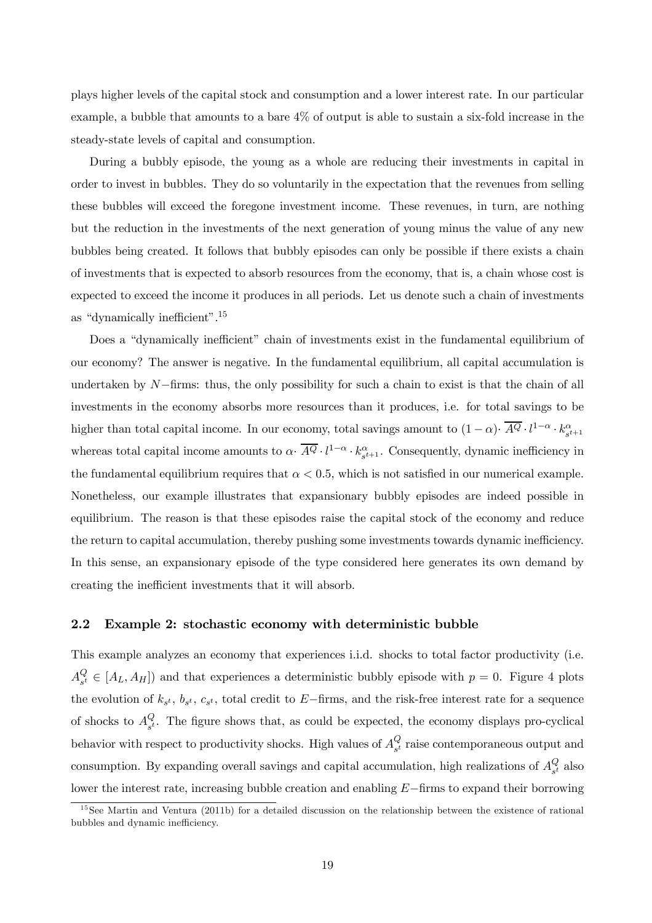plays higher levels of the capital stock and consumption and a lower interest rate. In our particular example, a bubble that amounts to a bare 4% of output is able to sustain a six-fold increase in the steady-state levels of capital and consumption.

During a bubbly episode, the young as a whole are reducing their investments in capital in order to invest in bubbles. They do so voluntarily in the expectation that the revenues from selling these bubbles will exceed the foregone investment income. These revenues, in turn, are nothing but the reduction in the investments of the next generation of young minus the value of any new bubbles being created. It follows that bubbly episodes can only be possible if there exists a chain of investments that is expected to absorb resources from the economy, that is, a chain whose cost is expected to exceed the income it produces in all periods. Let us denote such a chain of investments as "dynamically inefficient".<sup>15</sup>

Does a "dynamically inefficient" chain of investments exist in the fundamental equilibrium of our economy? The answer is negative. In the fundamental equilibrium, all capital accumulation is undertaken by  $N$ –firms: thus, the only possibility for such a chain to exist is that the chain of all investments in the economy absorbs more resources than it produces, i.e. for total savings to be higher than total capital income. In our economy, total savings amount to  $(1-\alpha)$   $\overline{A^Q} \cdot l^{1-\alpha} \cdot k_{s^{t+1}}^{\alpha}$ whereas total capital income amounts to  $\alpha \cdot \overline{A^Q} \cdot l^{1-\alpha} \cdot k_{s^{t+1}}^{\alpha}$ . Consequently, dynamic inefficiency in the fundamental equilibrium requires that  $\alpha < 0.5$ , which is not satisfied in our numerical example. Nonetheless, our example illustrates that expansionary bubbly episodes are indeed possible in equilibrium. The reason is that these episodes raise the capital stock of the economy and reduce the return to capital accumulation, thereby pushing some investments towards dynamic inefficiency. In this sense, an expansionary episode of the type considered here generates its own demand by creating the inefficient investments that it will absorb.

#### 2.2 Example 2: stochastic economy with deterministic bubble

This example analyzes an economy that experiences i.i.d. shocks to total factor productivity (i.e.  $A_{s^t}^Q$  $S_{s<sup>t</sup>} \in [A_L, A_H]$  and that experiences a deterministic bubbly episode with  $p = 0$ . Figure 4 plots the evolution of  $k_{s}t$ ,  $b_{s}t$ ,  $c_{s}t$ , total credit to E–firms, and the risk-free interest rate for a sequence of shocks to  $A_{st}^Q$  $\mathcal{L}_{s^t}^{\mathcal{L}}$ . The figure shows that, as could be expected, the economy displays pro-cyclical behavior with respect to productivity shocks. High values of  $A_{\varepsilon t}^Q$  $\frac{Q}{s^t}$  raise contemporaneous output and consumption. By expanding overall savings and capital accumulation, high realizations of  $A_{st}^Q$  $s_t^{\mathcal{U}}$  also lower the interest rate, increasing bubble creation and enabling E−firms to expand their borrowing

 $15$ See Martin and Ventura (2011b) for a detailed discussion on the relationship between the existence of rational bubbles and dynamic inefficiency.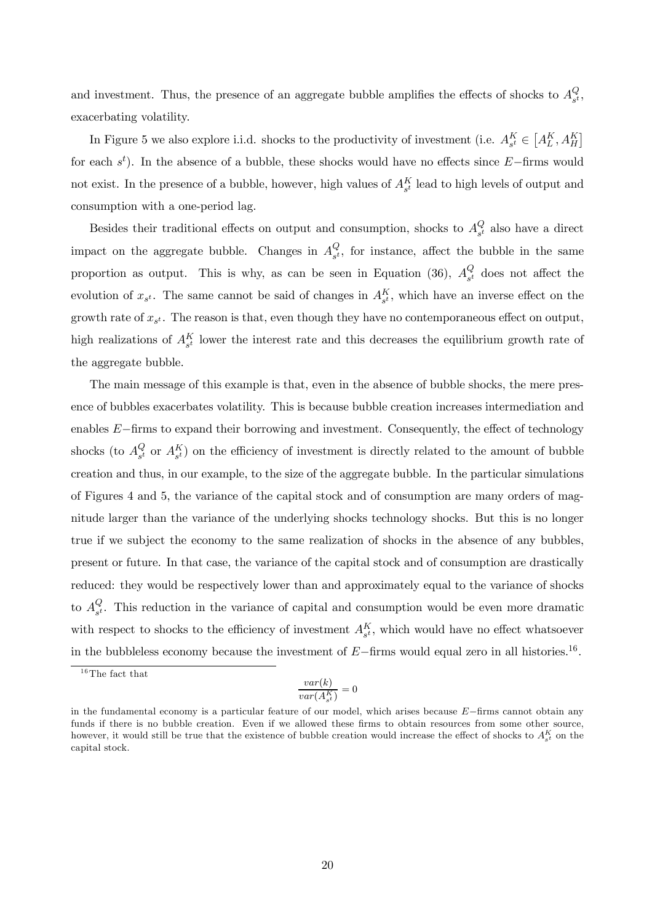and investment. Thus, the presence of an aggregate bubble amplifies the effects of shocks to  $A_{st}^Q$  $_{s^{t}}^Q,$ exacerbating volatility.

In Figure 5 we also explore i.i.d. shocks to the productivity of investment (i.e.  $A_{s^t}^K \in [A_L^K, A_H^K]$ ) for each  $s<sup>t</sup>$ ). In the absence of a bubble, these shocks would have no effects since E−firms would not exist. In the presence of a bubble, however, high values of  $A_{s^t}^K$  lead to high levels of output and consumption with a one-period lag.

Besides their traditional effects on output and consumption, shocks to  $A_{st}^Q$  $\frac{Q}{s^t}$  also have a direct impact on the aggregate bubble. Changes in  $A_{st}^Q$  $\mathcal{L}_{s^t}$ , for instance, affect the bubble in the same proportion as output. This is why, as can be seen in Equation (36),  $A_{st}^Q$  $\frac{Q}{s^t}$  does not affect the evolution of  $x_{s^t}$ . The same cannot be said of changes in  $A_{s^t}^K$ , which have an inverse effect on the growth rate of  $x_{s^t}$ . The reason is that, even though they have no contemporaneous effect on output, high realizations of  $A_{s^t}^K$  lower the interest rate and this decreases the equilibrium growth rate of the aggregate bubble.

The main message of this example is that, even in the absence of bubble shocks, the mere presence of bubbles exacerbates volatility. This is because bubble creation increases intermediation and enables E−firms to expand their borrowing and investment. Consequently, the effect of technology shocks (to  $A_{s^t}^Q$  $\mathcal{L}_{s^t}$  or  $A_{s^t}^{K}$  on the efficiency of investment is directly related to the amount of bubble creation and thus, in our example, to the size of the aggregate bubble. In the particular simulations of Figures 4 and 5, the variance of the capital stock and of consumption are many orders of magnitude larger than the variance of the underlying shocks technology shocks. But this is no longer true if we subject the economy to the same realization of shocks in the absence of any bubbles, present or future. In that case, the variance of the capital stock and of consumption are drastically reduced: they would be respectively lower than and approximately equal to the variance of shocks to  $A_{st}^Q$  $\mathcal{L}_{s^t}$ . This reduction in the variance of capital and consumption would be even more dramatic with respect to shocks to the efficiency of investment  $A_{s<sup>t</sup>}^K$ , which would have no effect whatsoever in the bubbleless economy because the investment of  $E$ −firms would equal zero in all histories.<sup>16</sup>.

 $16$ The fact that

$$
\frac{var(k)}{var(A^K_{s^t})} = 0
$$

in the fundamental economy is a particular feature of our model, which arises because E−firms cannot obtain any funds if there is no bubble creation. Even if we allowed these firms to obtain resources from some other source, however, it would still be true that the existence of bubble creation would increase the effect of shocks to  $A_{s^t}^K$  on the capital stock.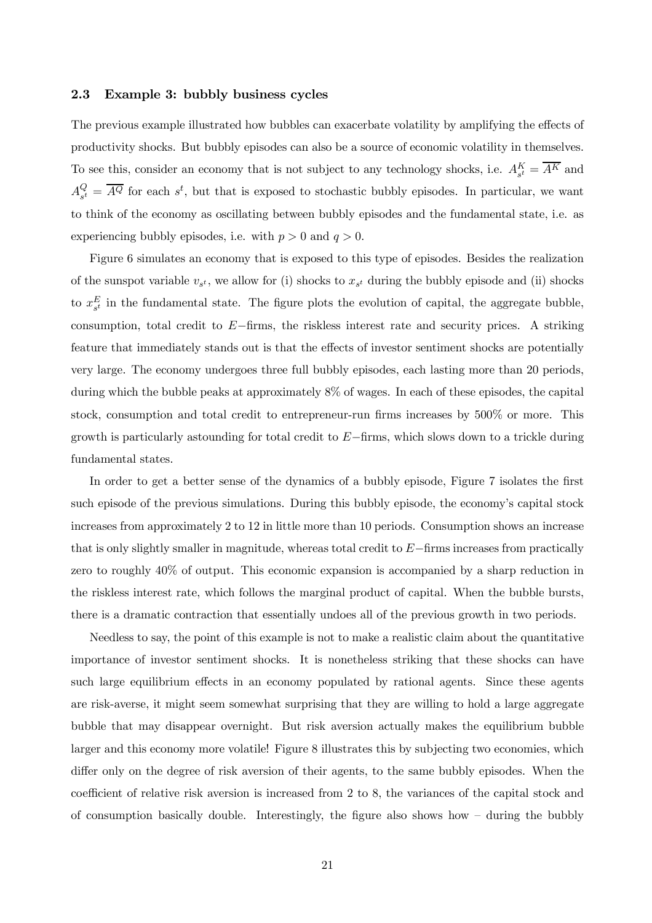#### 2.3 Example 3: bubbly business cycles

The previous example illustrated how bubbles can exacerbate volatility by amplifying the effects of productivity shocks. But bubbly episodes can also be a source of economic volatility in themselves. To see this, consider an economy that is not subject to any technology shocks, i.e.  $A_{s^t}^K = \overline{A^K}$  and  $A_{\mathcal{I}}^{Q}$  $S_{s<sup>t</sup>}^{Q} = \overline{A^{Q}}$  for each  $s<sup>t</sup>$ , but that is exposed to stochastic bubbly episodes. In particular, we want to think of the economy as oscillating between bubbly episodes and the fundamental state, i.e. as experiencing bubbly episodes, i.e. with  $p > 0$  and  $q > 0$ .

Figure 6 simulates an economy that is exposed to this type of episodes. Besides the realization of the sunspot variable  $v_{s^t}$ , we allow for (i) shocks to  $x_{s^t}$  during the bubbly episode and (ii) shocks to  $x_{s^t}^E$  in the fundamental state. The figure plots the evolution of capital, the aggregate bubble, consumption, total credit to  $E$ −firms, the riskless interest rate and security prices. A striking feature that immediately stands out is that the effects of investor sentiment shocks are potentially very large. The economy undergoes three full bubbly episodes, each lasting more than 20 periods, during which the bubble peaks at approximately 8% of wages. In each of these episodes, the capital stock, consumption and total credit to entrepreneur-run firms increases by 500% or more. This growth is particularly astounding for total credit to  $E-\text{ firms}$ , which slows down to a trickle during fundamental states.

In order to get a better sense of the dynamics of a bubbly episode, Figure 7 isolates the first such episode of the previous simulations. During this bubbly episode, the economy's capital stock increases from approximately 2 to 12 in little more than 10 periods. Consumption shows an increase that is only slightly smaller in magnitude, whereas total credit to E−firms increases from practically zero to roughly 40% of output. This economic expansion is accompanied by a sharp reduction in the riskless interest rate, which follows the marginal product of capital. When the bubble bursts, there is a dramatic contraction that essentially undoes all of the previous growth in two periods.

Needless to say, the point of this example is not to make a realistic claim about the quantitative importance of investor sentiment shocks. It is nonetheless striking that these shocks can have such large equilibrium effects in an economy populated by rational agents. Since these agents are risk-averse, it might seem somewhat surprising that they are willing to hold a large aggregate bubble that may disappear overnight. But risk aversion actually makes the equilibrium bubble larger and this economy more volatile! Figure 8 illustrates this by subjecting two economies, which differ only on the degree of risk aversion of their agents, to the same bubbly episodes. When the coefficient of relative risk aversion is increased from 2 to 8, the variances of the capital stock and of consumption basically double. Interestingly, the figure also shows how — during the bubbly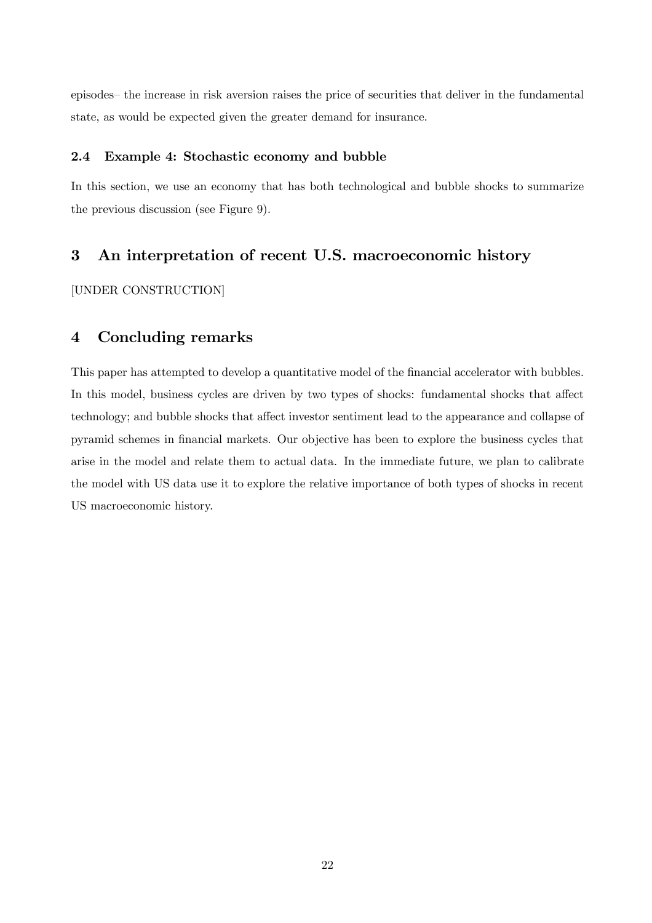episodes— the increase in risk aversion raises the price of securities that deliver in the fundamental state, as would be expected given the greater demand for insurance.

#### 2.4 Example 4: Stochastic economy and bubble

In this section, we use an economy that has both technological and bubble shocks to summarize the previous discussion (see Figure 9).

## 3 An interpretation of recent U.S. macroeconomic history

[UNDER CONSTRUCTION]

## 4 Concluding remarks

This paper has attempted to develop a quantitative model of the financial accelerator with bubbles. In this model, business cycles are driven by two types of shocks: fundamental shocks that affect technology; and bubble shocks that affect investor sentiment lead to the appearance and collapse of pyramid schemes in financial markets. Our objective has been to explore the business cycles that arise in the model and relate them to actual data. In the immediate future, we plan to calibrate the model with US data use it to explore the relative importance of both types of shocks in recent US macroeconomic history.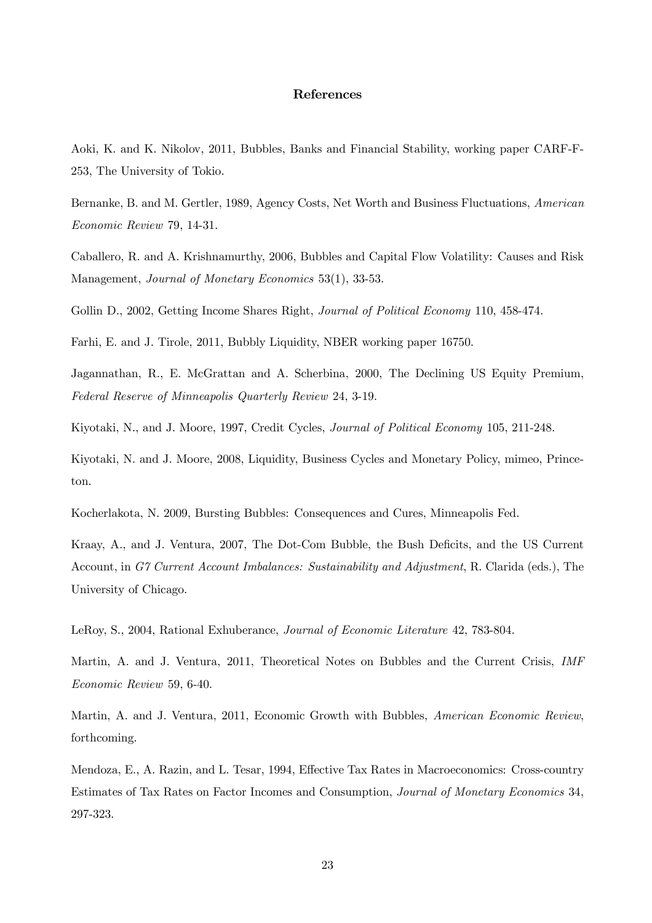#### References

Aoki, K. and K. Nikolov, 2011, Bubbles, Banks and Financial Stability, working paper CARF-F-253, The University of Tokio.

Bernanke, B. and M. Gertler, 1989, Agency Costs, Net Worth and Business Fluctuations, American Economic Review 79, 14-31.

Caballero, R. and A. Krishnamurthy, 2006, Bubbles and Capital Flow Volatility: Causes and Risk Management, Journal of Monetary Economics 53(1), 33-53.

Gollin D., 2002, Getting Income Shares Right, *Journal of Political Economy* 110, 458-474.

Farhi, E. and J. Tirole, 2011, Bubbly Liquidity, NBER working paper 16750.

Jagannathan, R., E. McGrattan and A. Scherbina, 2000, The Declining US Equity Premium, Federal Reserve of Minneapolis Quarterly Review 24, 3-19.

Kiyotaki, N., and J. Moore, 1997, Credit Cycles, Journal of Political Economy 105, 211-248.

Kiyotaki, N. and J. Moore, 2008, Liquidity, Business Cycles and Monetary Policy, mimeo, Princeton.

Kocherlakota, N. 2009, Bursting Bubbles: Consequences and Cures, Minneapolis Fed.

Kraay, A., and J. Ventura, 2007, The Dot-Com Bubble, the Bush Deficits, and the US Current Account, in G7 Current Account Imbalances: Sustainability and Adjustment, R. Clarida (eds.), The University of Chicago.

LeRoy, S., 2004, Rational Exhuberance, Journal of Economic Literature 42, 783-804.

Martin, A. and J. Ventura, 2011, Theoretical Notes on Bubbles and the Current Crisis, IMF Economic Review 59, 6-40.

Martin, A. and J. Ventura, 2011, Economic Growth with Bubbles, American Economic Review, forthcoming.

Mendoza, E., A. Razin, and L. Tesar, 1994, Effective Tax Rates in Macroeconomics: Cross-country Estimates of Tax Rates on Factor Incomes and Consumption, Journal of Monetary Economics 34, 297-323.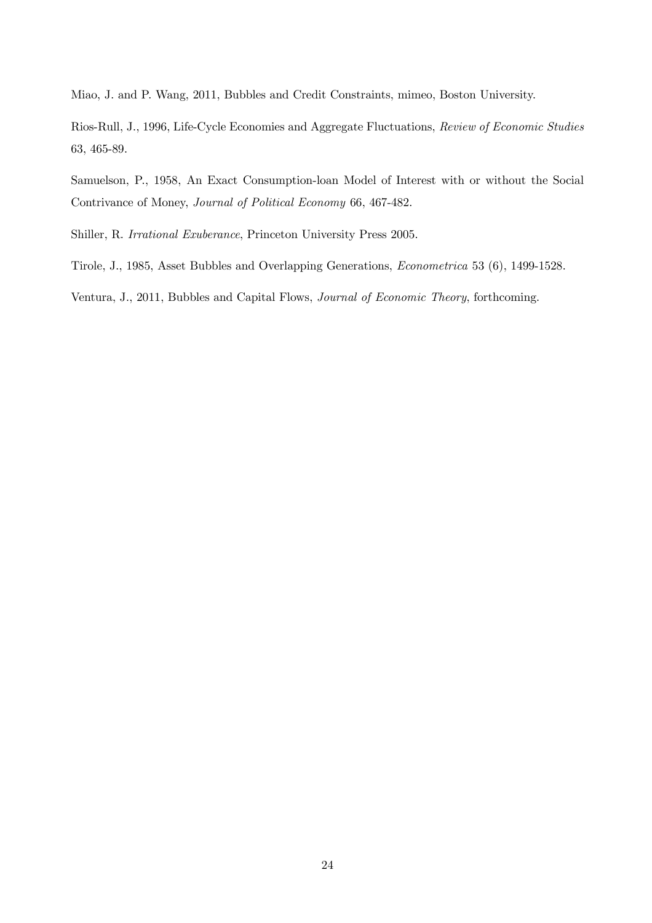Miao, J. and P. Wang, 2011, Bubbles and Credit Constraints, mimeo, Boston University.

Rios-Rull, J., 1996, Life-Cycle Economies and Aggregate Fluctuations, Review of Economic Studies 63, 465-89.

Samuelson, P., 1958, An Exact Consumption-loan Model of Interest with or without the Social Contrivance of Money, Journal of Political Economy 66, 467-482.

Shiller, R. Irrational Exuberance, Princeton University Press 2005.

Tirole, J., 1985, Asset Bubbles and Overlapping Generations, Econometrica 53 (6), 1499-1528.

Ventura, J., 2011, Bubbles and Capital Flows, Journal of Economic Theory, forthcoming.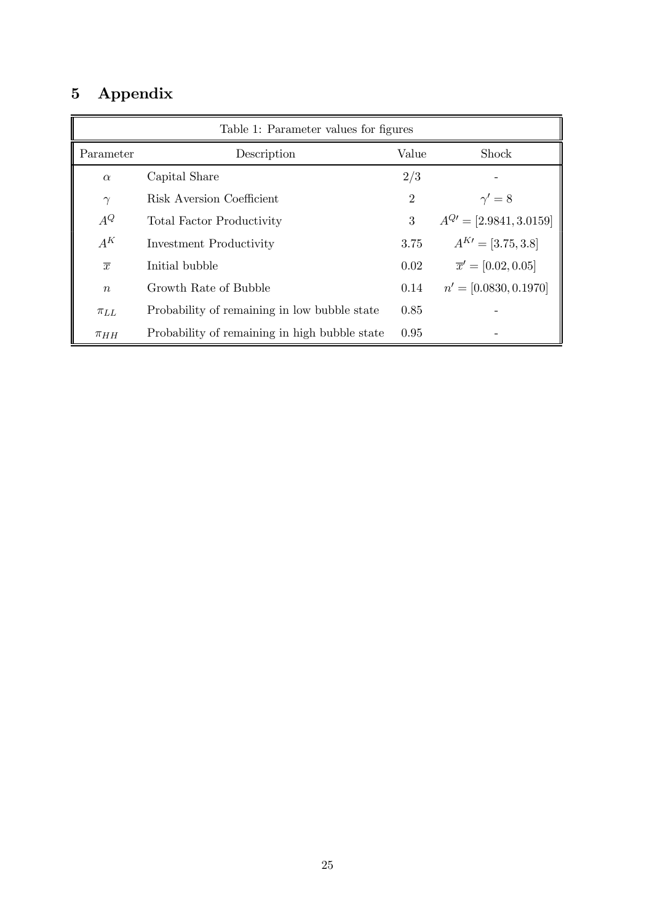# 5 Appendix

| Table 1: Parameter values for figures |                                               |                |                                |
|---------------------------------------|-----------------------------------------------|----------------|--------------------------------|
| Parameter                             | Description                                   | Value          | Shock                          |
| $\alpha$                              | Capital Share                                 | 2/3            |                                |
| $\gamma$                              | Risk Aversion Coefficient                     | $\overline{2}$ | $\gamma'=8$                    |
| $A^Q$                                 | <b>Total Factor Productivity</b>              | 3              | $A^{Q'} = [2.9841, 3.0159]$    |
| $A^K$                                 | <b>Investment Productivity</b>                | 3.75           | $A^{K} = [3.75, 3.8]$          |
| $\overline{x}$                        | Initial bubble                                | 0.02           | $\overline{x}' = [0.02, 0.05]$ |
| $\boldsymbol{n}$                      | Growth Rate of Bubble                         | 0.14           | $n' = [0.0830, 0.1970]$        |
| $\pi_{LL}$                            | Probability of remaining in low bubble state  | 0.85           |                                |
| $\pi_{HH}$                            | Probability of remaining in high bubble state | 0.95           |                                |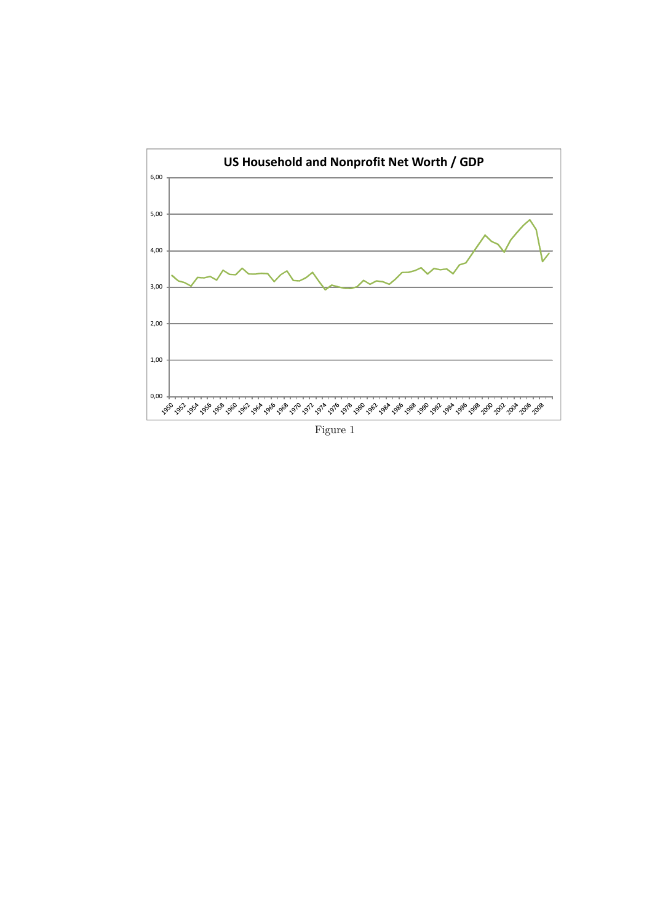

Figure 1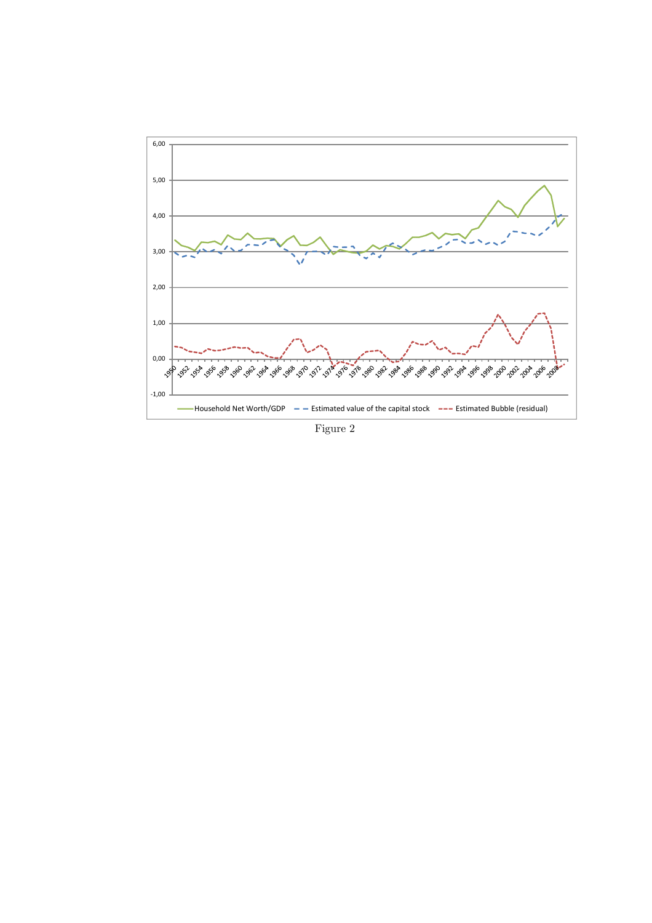

Figure 2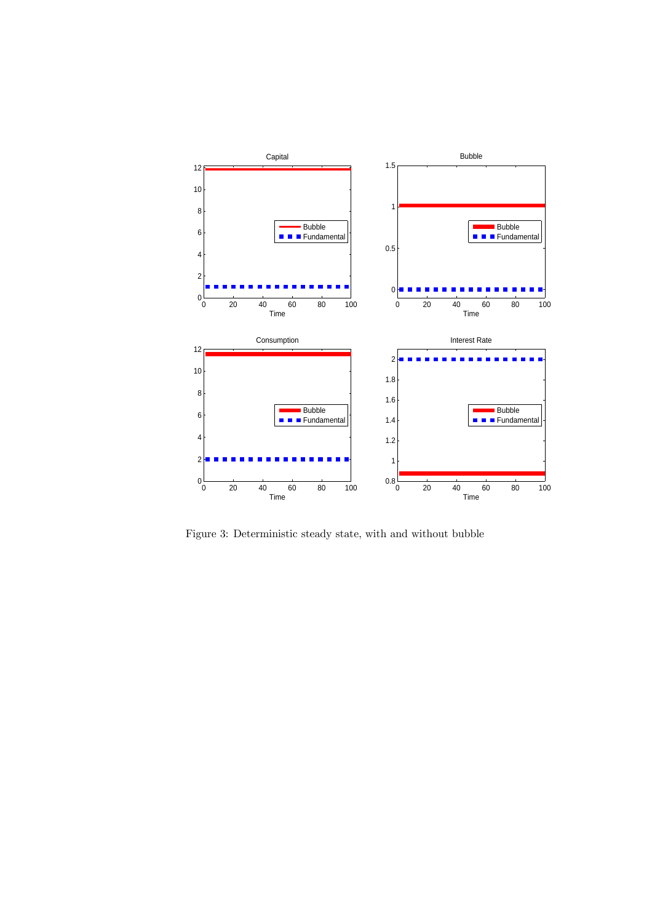

Figure 3: Deterministic steady state, with and without bubble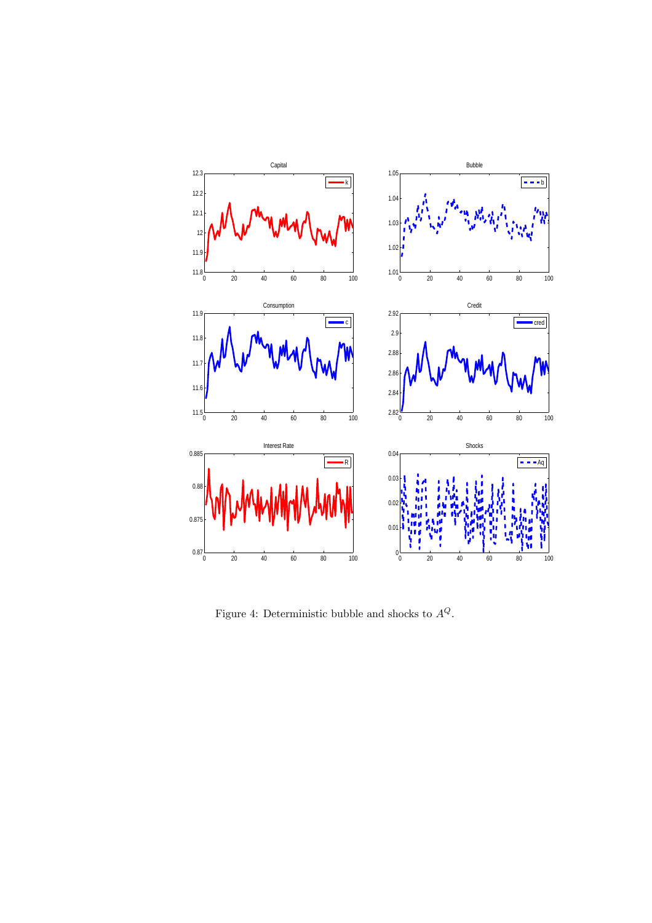

Figure 4: Deterministic bubble and shocks to  ${\cal A}^Q.$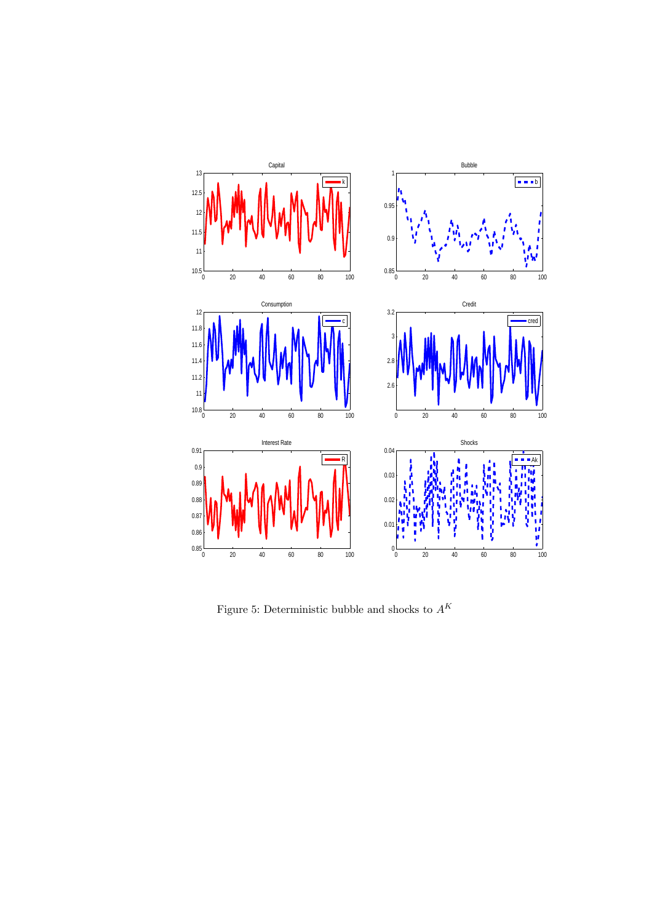

Figure 5: Deterministic bubble and shocks to  ${\cal A}^K$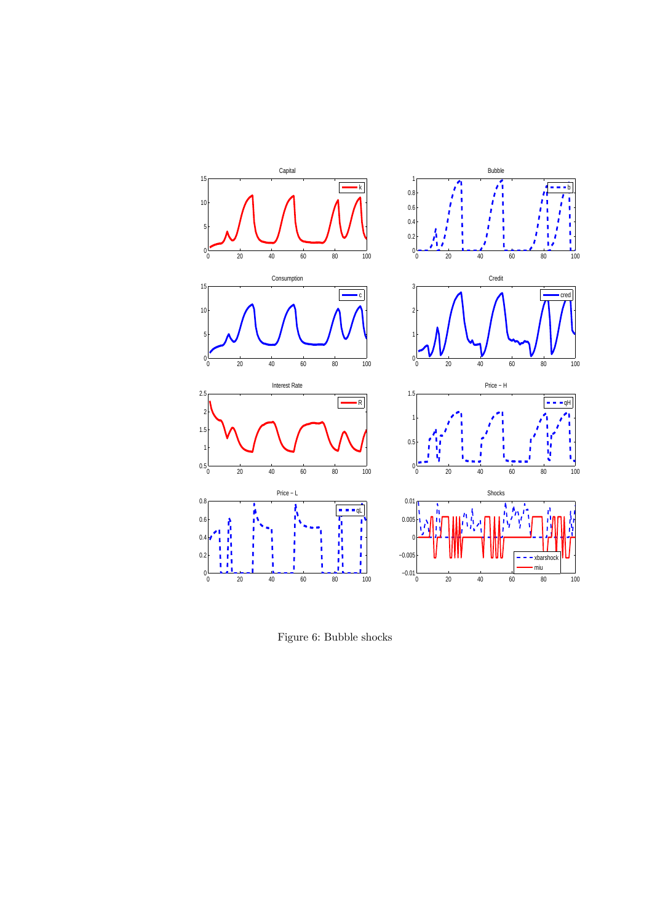

Figure 6: Bubble shocks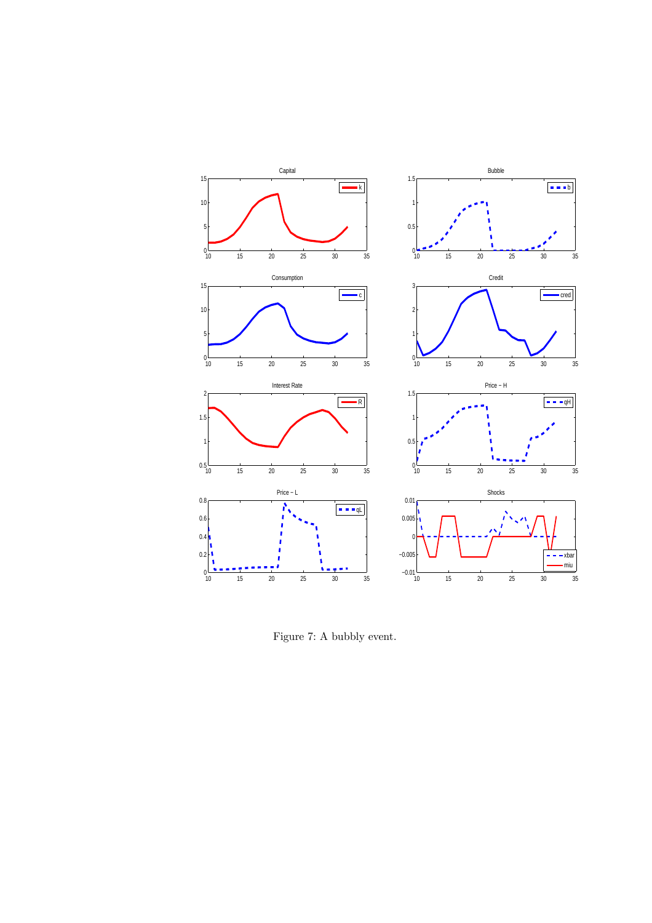

Figure 7: A bubbly event.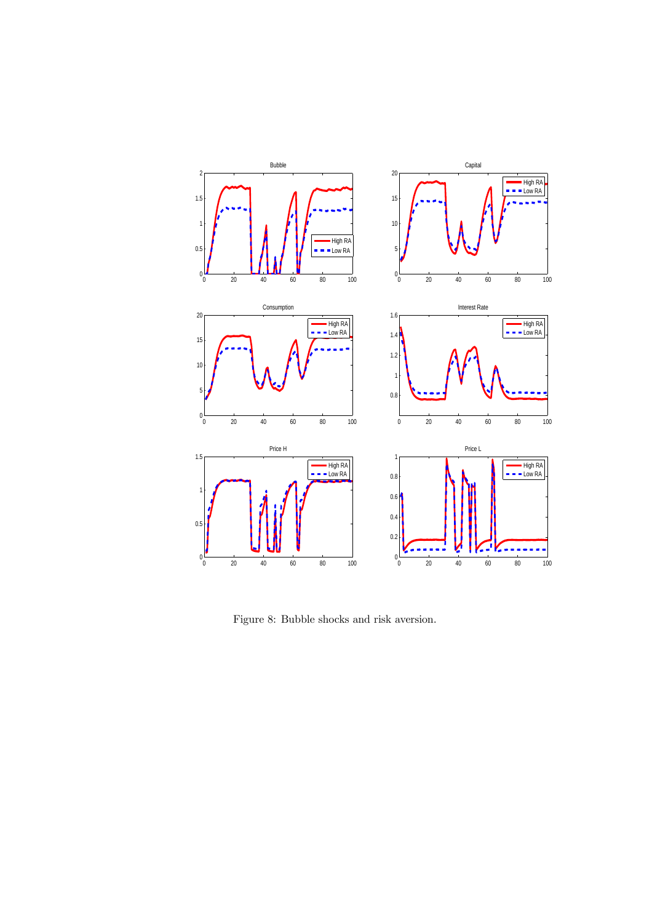

Figure 8: Bubble shocks and risk aversion.